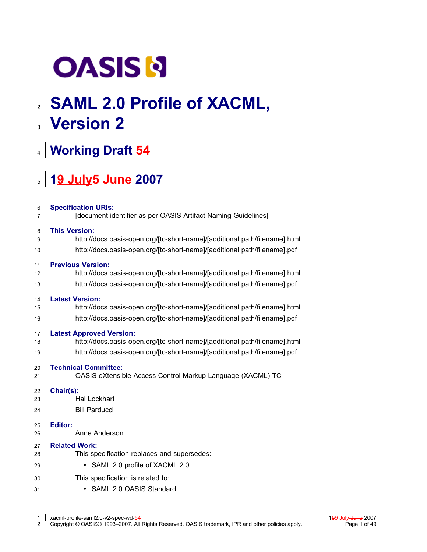# **OASIS N**

# **SAML 2.0 Profile of XACML,** 2 **Version 2** 3

# **Working Draft 54** 4

# **19 July5 June 2007** 5

| 6  | <b>Specification URIs:</b>                                                 |
|----|----------------------------------------------------------------------------|
| 7  | [document identifier as per OASIS Artifact Naming Guidelines]              |
| 8  | <b>This Version:</b>                                                       |
| 9  | http://docs.oasis-open.org/[tc-short-name]/[additional path/filename].html |
| 10 | http://docs.oasis-open.org/[tc-short-name]/[additional path/filename].pdf  |
| 11 | <b>Previous Version:</b>                                                   |
| 12 | http://docs.oasis-open.org/[tc-short-name]/[additional path/filename].html |
| 13 | http://docs.oasis-open.org/[tc-short-name]/[additional path/filename].pdf  |
| 14 | <b>Latest Version:</b>                                                     |
| 15 | http://docs.oasis-open.org/[tc-short-name]/[additional path/filename].html |
| 16 | http://docs.oasis-open.org/[tc-short-name]/[additional path/filename].pdf  |
| 17 | <b>Latest Approved Version:</b>                                            |
| 18 | http://docs.oasis-open.org/[tc-short-name]/[additional path/filename].html |
| 19 | http://docs.oasis-open.org/[tc-short-name]/[additional path/filename].pdf  |
| 20 | <b>Technical Committee:</b>                                                |
| 21 | OASIS eXtensible Access Control Markup Language (XACML) TC                 |
| 22 | Chair(s):                                                                  |
| 23 | <b>Hal Lockhart</b>                                                        |
| 24 | <b>Bill Parducci</b>                                                       |
| 25 | <b>Editor:</b>                                                             |
| 26 | Anne Anderson                                                              |
| 27 | <b>Related Work:</b>                                                       |
| 28 | This specification replaces and supersedes:                                |
| 29 | SAML 2.0 profile of XACML 2.0<br>٠                                         |
| 30 | This specification is related to:                                          |
| 31 | SAML 2.0 OASIS Standard                                                    |
|    |                                                                            |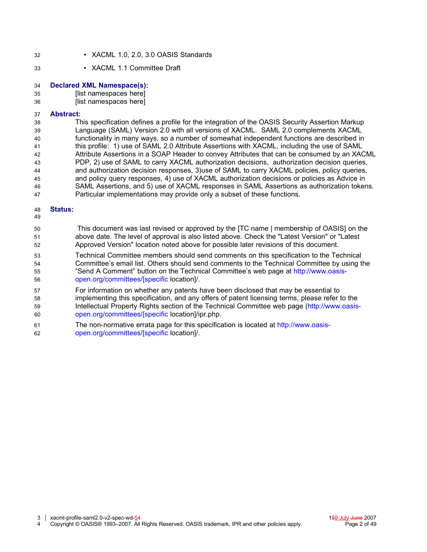- XACML 1.0, 2.0, 3.0 OASIS Standards 32
- XACML 1.1 Committee Draft 33

#### **Declared XML Namespace(s):** 34

[list namespaces here] 35

[list namespaces here] 36

#### **Abstract:** 37

This specification defines a profile for the integration of the OASIS Security Assertion Markup Language (SAML) Version 2.0 with all versions of XACML. SAML 2.0 complements XACML functionality in many ways, so a number of somewhat independent functions are described in this profile: 1) use of SAML 2.0 Attribute Assertions with XACML, including the use of SAML Attribute Assertions in a SOAP Header to convey Attributes that can be consumed by an XACML PDP, 2) use of SAML to carry XACML authorization decisions, authorization decision queries, and authorization decision responses, 3)use of SAML to carry XACML policies, policy queries, and policy query responses, 4) use of XACML authorization decisions or policies as Advice in SAML Assertions, and 5) use of XACML responses in SAML Assertions as authorization tokens. Particular implementations may provide only a subset of these functions. 38 39 40 41 42 43 44 45 46 47

#### **Status:** 48

49

- This document was last revised or approved by the [TC name | membership of OASIS] on the above date. The level of approval is also listed above. Check the "Latest Version" or "Latest Approved Version" location noted above for possible later revisions of this document. 50 51 52
- Technical Committee members should send comments on this specification to the Technical Committee's email list. Others should send comments to the Technical Committee by using the "Send A Comment" button on the Technical Committee's web page at [http://www.oasis](http://www.oasis-open.org/committeees/%5Bspecific)[open.org/committees/\[specific](http://www.oasis-open.org/committeees/%5Bspecific) location]/. 53 54 55 56
- For information on whether any patents have been disclosed that may be essential to implementing this specification, and any offers of patent licensing terms, please refer to the Intellectual Property Rights section of the Technical Committee web page [\(http://www.oasis](http://www.oasis-open.org/committees/%5Bspecific)[open.org/committees/\[specific](http://www.oasis-open.org/committees/%5Bspecific) location]/ipr.php. 57 58 59 60
- The non-normative errata page for this specification is located at [http://www.oasis](http://www.oasis-open.org/committees/%5Bspecific)[open.org/committees/\[specific](http://www.oasis-open.org/committees/%5Bspecific) location]/. 61 62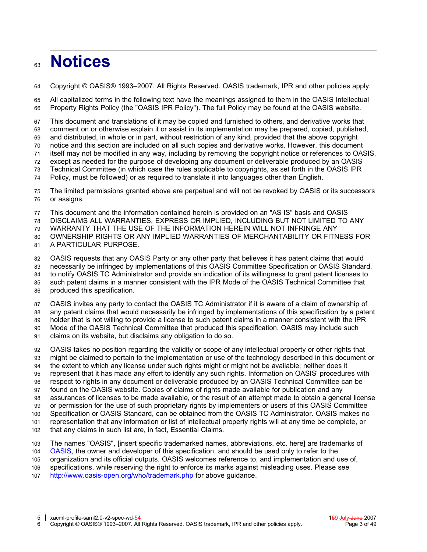### **Notices** 63

Copyright © OASIS® 1993–2007. All Rights Reserved. OASIS trademark, IPR and other policies apply. 64

All capitalized terms in the following text have the meanings assigned to them in the OASIS Intellectual Property Rights Policy (the "OASIS IPR Policy"). The full Policy may be found at the OASIS website. 65 66

This document and translations of it may be copied and furnished to others, and derivative works that comment on or otherwise explain it or assist in its implementation may be prepared, copied, published, and distributed, in whole or in part, without restriction of any kind, provided that the above copyright notice and this section are included on all such copies and derivative works. However, this document itself may not be modified in any way, including by removing the copyright notice or references to OASIS, except as needed for the purpose of developing any document or deliverable produced by an OASIS Technical Committee (in which case the rules applicable to copyrights, as set forth in the OASIS IPR 67 68 69 70 71 72 73

Policy, must be followed) or as required to translate it into languages other than English. 74

The limited permissions granted above are perpetual and will not be revoked by OASIS or its successors or assigns. 75 76

This document and the information contained herein is provided on an "AS IS" basis and OASIS 77

DISCLAIMS ALL WARRANTIES, EXPRESS OR IMPLIED, INCLUDING BUT NOT LIMITED TO ANY 78

WARRANTY THAT THE USE OF THE INFORMATION HEREIN WILL NOT INFRINGE ANY 79

OWNERSHIP RIGHTS OR ANY IMPLIED WARRANTIES OF MERCHANTABILITY OR FITNESS FOR A PARTICULAR PURPOSE. 80 81

OASIS requests that any OASIS Party or any other party that believes it has patent claims that would necessarily be infringed by implementations of this OASIS Committee Specification or OASIS Standard, to notify OASIS TC Administrator and provide an indication of its willingness to grant patent licenses to such patent claims in a manner consistent with the IPR Mode of the OASIS Technical Committee that produced this specification. 82 83 84 85 86

OASIS invites any party to contact the OASIS TC Administrator if it is aware of a claim of ownership of any patent claims that would necessarily be infringed by implementations of this specification by a patent holder that is not willing to provide a license to such patent claims in a manner consistent with the IPR Mode of the OASIS Technical Committee that produced this specification. OASIS may include such 87 88 89 90

claims on its website, but disclaims any obligation to do so. 91

OASIS takes no position regarding the validity or scope of any intellectual property or other rights that might be claimed to pertain to the implementation or use of the technology described in this document or the extent to which any license under such rights might or might not be available; neither does it represent that it has made any effort to identify any such rights. Information on OASIS' procedures with respect to rights in any document or deliverable produced by an OASIS Technical Committee can be found on the OASIS website. Copies of claims of rights made available for publication and any assurances of licenses to be made available, or the result of an attempt made to obtain a general license or permission for the use of such proprietary rights by implementers or users of this OASIS Committee Specification or OASIS Standard, can be obtained from the OASIS TC Administrator. OASIS makes no representation that any information or list of intellectual property rights will at any time be complete, or that any claims in such list are, in fact, Essential Claims. 92 93 94 95 96 97 98 99 100 101 102

The names "OASIS", [insert specific trademarked names, abbreviations, etc. here] are trademarks of [OASIS,](http://www.oasis-open.org/) the owner and developer of this specification, and should be used only to refer to the organization and its official outputs. OASIS welcomes reference to, and implementation and use of, specifications, while reserving the right to enforce its marks against misleading uses. Please see <http://www.oasis-open.org/who/trademark.php> for above guidance. 103 104 105 106 107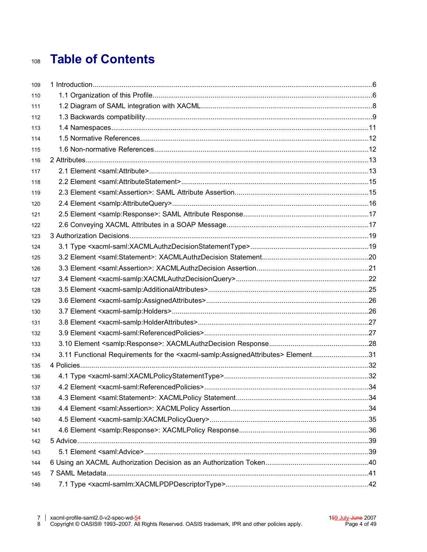#### **Table of Contents** 108

| 109 |                                                                                                                  |  |
|-----|------------------------------------------------------------------------------------------------------------------|--|
| 110 |                                                                                                                  |  |
| 111 |                                                                                                                  |  |
| 112 |                                                                                                                  |  |
| 113 |                                                                                                                  |  |
| 114 |                                                                                                                  |  |
| 115 |                                                                                                                  |  |
| 116 |                                                                                                                  |  |
| 117 |                                                                                                                  |  |
| 118 |                                                                                                                  |  |
| 119 |                                                                                                                  |  |
| 120 |                                                                                                                  |  |
| 121 |                                                                                                                  |  |
| 122 |                                                                                                                  |  |
| 123 |                                                                                                                  |  |
| 124 |                                                                                                                  |  |
| 125 |                                                                                                                  |  |
| 126 |                                                                                                                  |  |
| 127 |                                                                                                                  |  |
| 128 |                                                                                                                  |  |
| 129 |                                                                                                                  |  |
| 130 |                                                                                                                  |  |
| 131 |                                                                                                                  |  |
| 132 |                                                                                                                  |  |
| 133 |                                                                                                                  |  |
| 134 | 3.11 Functional Requirements for the <xacml-samlp:assignedattributes> Element31</xacml-samlp:assignedattributes> |  |
| 135 |                                                                                                                  |  |
| 136 |                                                                                                                  |  |
| 137 |                                                                                                                  |  |
| 138 |                                                                                                                  |  |
| 139 |                                                                                                                  |  |
| 140 |                                                                                                                  |  |
| 141 |                                                                                                                  |  |
| 142 |                                                                                                                  |  |
| 143 |                                                                                                                  |  |
| 144 |                                                                                                                  |  |
| 145 |                                                                                                                  |  |
| 146 |                                                                                                                  |  |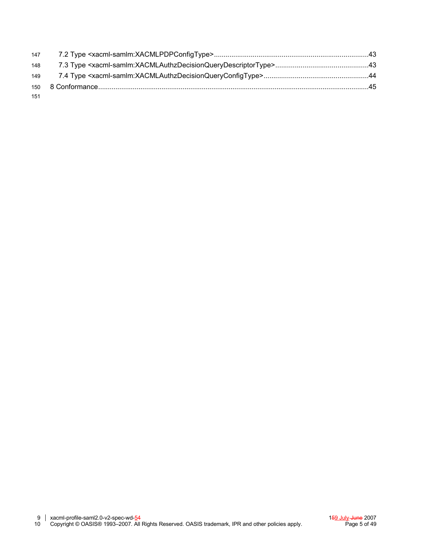| 148 |  |
|-----|--|
|     |  |
|     |  |
| 151 |  |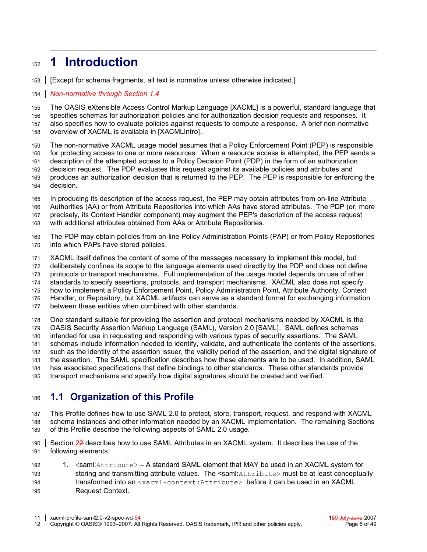#### **1 Introduction** 152

[Except for schema fragments, all text is normative unless otherwise indicated.] 153

#### *Non-normative through Section [1.4](#page-8-0)* 154

The OASIS eXtensible Access Control Markup Language [XACML] is a powerful, standard language that specifies schemas for authorization policies and for authorization decision requests and responses. It also specifies how to evaluate policies against requests to compute a response. A brief non-normative overview of XACML is available in [\[XACMLIntro\].](#page-11-1) 155 156 157 158

The non-normative XACML usage model assumes that a Policy Enforcement Point (PEP) is responsible for protecting access to one or more resources. When a resource access is attempted, the PEP sends a description of the attempted access to a Policy Decision Point (PDP) in the form of an authorization decision request. The PDP evaluates this request against its available policies and attributes and produces an authorization decision that is returned to the PEP. The PEP is responsible for enforcing the decision. 159 160 161 162 163 164

In producing its description of the access request, the PEP may obtain attributes from on-line Attribute Authorities (AA) or from Attribute Repositories into which AAs have stored attributes. The PDP (or, more precisely, its Context Handler component) may augment the PEP's description of the access request with additional attributes obtained from AAs or Attribute Repositories. 165 166 167 168

The PDP may obtain policies from on-line Policy Administration Points (PAP) or from Policy Repositories into which PAPs have stored policies. 169 170

XACML itself defines the content of some of the messages necessary to implement this model, but deliberately confines its scope to the language elements used directly by the PDP and does not define protocols or transport mechanisms. Full implementation of the usage model depends on use of other standards to specify assertions, protocols, and transport mechanisms. XACML also does not specify how to implement a Policy Enforcement Point, Policy Administration Point, Attribute Authority, Context Handler, or Repository, but XACML artifacts can serve as a standard format for exchanging information between these entities when combined with other standards. One standard suitable for providing the assertion and protocol mechanisms needed by XACML is the 171 172 173 174 175 176 177 178

OASIS Security Assertion Markup Language (SAML), Version 2.0 [\[SAML\].](#page-11-0) SAML defines schemas intended for use in requesting and responding with various types of security assertions. The SAML schemas include information needed to identify, validate, and authenticate the contents of the assertions, such as the identity of the assertion issuer, the validity period of the assertion, and the digital signature of the assertion. The SAML specification describes how these elements are to be used. In addition, SAML has associated specifications that define bindings to other standards. These other standards provide transport mechanisms and specify how digital signatures should be created and verified. 179 180 181 182 183 184 185

#### **1.1 Organization of this Profile** 186

This Profile defines how to use SAML 2.0 to protect, store, transport, request, and respond with XACML schema instances and other information needed by an XACML implementation. The remaining Sections of this Profile describe the following aspects of SAML 2.0 usage. 187 188 189

Section [22](#page-12-0) describes how to use SAML Attributes in an XACML system. It describes the use of the following elements: 190 191

1. <saml:Attribute> - A standard SAML element that MAY be used in an XACML system for storing and transmitting attribute values. The <saml: Attribute> must be at least conceptually transformed into an <xacml-context:Attribute> before it can be used in an XACML Request Context. 192 193 194 195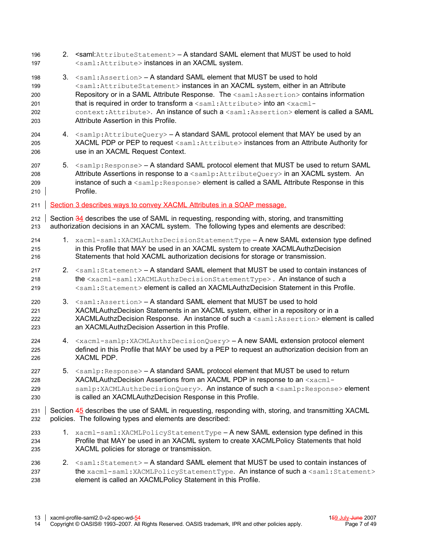| 196<br>197                             |    | 2. <saml: attributestatement=""> - A standard SAML element that MUST be used to hold<br/><saml: attribute=""> instances in an XACML system.</saml:></saml:>                                                                                                                                                                                                                                                                                                                                                                                 |  |  |  |
|----------------------------------------|----|---------------------------------------------------------------------------------------------------------------------------------------------------------------------------------------------------------------------------------------------------------------------------------------------------------------------------------------------------------------------------------------------------------------------------------------------------------------------------------------------------------------------------------------------|--|--|--|
| 198<br>199<br>200<br>201<br>202<br>203 | 3. | <saml: assertion=""> - A standard SAML element that MUST be used to hold<br/><saml: attributestatement=""> instances in an XACML system, either in an Attribute<br/>Repository or in a SAML Attribute Response. The <saml: assertion=""> contains information<br/>that is required in order to transform a <saml: attribute=""> into an <xacml-<br>context: Attribute&gt;. An instance of such a <saml: assertion=""> element is called a SAML<br/>Attribute Assertion in this Profile.</saml:></xacml-<br></saml:></saml:></saml:></saml:> |  |  |  |
| 204<br>205<br>206                      |    | 4. <samlp: attributequery=""> - A standard SAML protocol element that MAY be used by an<br/>XACML PDP or PEP to request <saml: attribute=""> instances from an Attribute Authority for<br/>use in an XACML Request Context.</saml:></samlp:>                                                                                                                                                                                                                                                                                                |  |  |  |
| 207<br>208<br>209<br>210               |    | 5. <samlp: response=""> - A standard SAML protocol element that MUST be used to return SAML<br/>Attribute Assertions in response to a <samlp: attributequery=""> in an XACML system. An<br/>instance of such a <samlp: response=""> element is called a SAML Attribute Response in this<br/>Profile.</samlp:></samlp:></samlp:>                                                                                                                                                                                                             |  |  |  |
| 211                                    |    | Section 3 describes ways to convey XACML Attributes in a SOAP message.                                                                                                                                                                                                                                                                                                                                                                                                                                                                      |  |  |  |
| 212<br>213                             |    | Section 34 describes the use of SAML in requesting, responding with, storing, and transmitting<br>authorization decisions in an XACML system. The following types and elements are described:                                                                                                                                                                                                                                                                                                                                               |  |  |  |
| 214<br>215<br>216                      |    | 1. xacml-saml: XACMLAuthzDecisionStatementType - A new SAML extension type defined<br>in this Profile that MAY be used in an XACML system to create XACMLAuthzDecision<br>Statements that hold XACML authorization decisions for storage or transmission.                                                                                                                                                                                                                                                                                   |  |  |  |
| 217<br>218<br>219                      |    | 2. <saml: statement=""> - A standard SAML element that MUST be used to contain instances of<br/>the <xacml-saml:xacmlauthzdecisionstatementtype>. An instance of such a<br/><saml: statement=""> element is called an XACMLAuthzDecision Statement in this Profile.</saml:></xacml-saml:xacmlauthzdecisionstatementtype></saml:>                                                                                                                                                                                                            |  |  |  |
| 220<br>221<br>222<br>223               | 3. | <saml: assertion=""> - A standard SAML element that MUST be used to hold<br/>XACMLAuthzDecision Statements in an XACML system, either in a repository or in a<br/>XACMLAuthzDecision Response. An instance of such a <saml: assertion=""> element is called<br/>an XACMLAuthzDecision Assertion in this Profile.</saml:></saml:>                                                                                                                                                                                                            |  |  |  |
| 224<br>225<br>226                      |    | 4. <xacml-samlp:xacmlauthzdecisionquery> - A new SAML extension protocol element<br/>defined in this Profile that MAY be used by a PEP to request an authorization decision from an<br/>XACML PDP.</xacml-samlp:xacmlauthzdecisionquery>                                                                                                                                                                                                                                                                                                    |  |  |  |
| 227<br>228<br>229<br>230               | 5. | <samlp: response=""> - A standard SAML protocol element that MUST be used to return<br/>XACMLAuthzDecision Assertions from an XACML PDP in response to an <xacml-<br>samlp:XACMLAuthzDecisionQuery&gt;. An instance of such a <samlp:response> element<br/>is called an XACMLAuthzDecision Response in this Profile.</samlp:response></xacml-<br></samlp:>                                                                                                                                                                                  |  |  |  |
| 231<br>232                             |    | Section 45 describes the use of SAML in requesting, responding with, storing, and transmitting XACML<br>policies. The following types and elements are described:                                                                                                                                                                                                                                                                                                                                                                           |  |  |  |
| 233<br>234<br>235                      |    | 1. xacml-saml: XACMLPolicyStatementType - A new SAML extension type defined in this<br>Profile that MAY be used in an XACML system to create XACMLPolicy Statements that hold<br>XACML policies for storage or transmission.                                                                                                                                                                                                                                                                                                                |  |  |  |
| 236<br>237<br>238                      |    | 2. <saml: statement=""> - A standard SAML element that MUST be used to contain instances of<br/>the xacml-saml: XACMLPolicyStatementType. An instance of such a <saml: statement=""><br/>element is called an XACMLPolicy Statement in this Profile.</saml:></saml:>                                                                                                                                                                                                                                                                        |  |  |  |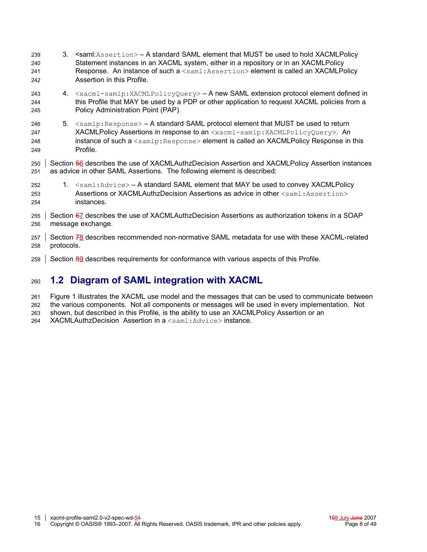- 3. <saml:Assertion> A standard SAML element that MUST be used to hold XACMLPolicy Statement instances in an XACML system, either in a repository or in an XACMLPolicy Response. An instance of such a <saml:Assertion> element is called an XACMLPolicy Assertion in this Profile. 4.  $\langle x \rangle$   $\langle x \rangle$   $\langle x \rangle$   $\langle x \rangle$   $\langle x \rangle$   $\langle x \rangle$   $\langle x \rangle$   $\langle y \rangle$   $\langle y \rangle$   $\langle x \rangle$   $\langle x \rangle$   $\langle x \rangle$   $\langle x \rangle$   $\langle x \rangle$   $\langle x \rangle$   $\langle x \rangle$   $\langle x \rangle$   $\langle x \rangle$   $\langle x \rangle$   $\langle x \rangle$   $\langle x \rangle$   $\langle x \rangle$   $\langle x \rangle$   $\langle x \rangle$   $\langle x \rangle$   $\langle x \rangle$   $\langle x \rangle$   $\langle$ this Profile that MAY be used by a PDP or other application to request XACML policies from a Policy Administration Point (PAP). 5. <samlp:Response> – A standard SAML protocol element that MUST be used to return XACMLPolicy Assertions in response to an <xacml-samlp:XACMLPolicyQuery>. An instance of such a <samlp: Response> element is called an XACMLPolicy Response in this Profile. Section [56](#page-36-0) describes the use of XACMLAuthzDecision Assertion and XACMLPolicy Assertion instances as advice in other SAML Assertions. The following element is described: 1. <saml:Advice> – A standard SAML element that MAY be used to convey XACMLPolicy Assertions or XACMLAuthzDecision Assertions as advice in other  $\langle$ saml:Assertion> instances. Section [67](#page-37-0) describes the use of XACMLAuthzDecision Assertions as authorization tokens in a SOAP message exchange. Section [78](#page-38-0) describes recommended non-normative SAML metadata for use with these XACML-related protocols. 239 240 241 242 243 244 245 246 247 248 249 250 251 252 253  $254$ 255 256 257 258
- Section [89](#page-42-0) describes requirements for conformance with various aspects of this Profile. 259

#### **1.2 Diagram of SAML integration with XACML** 260

- Figure 1 illustrates the XACML use model and the messages that can be used to communicate between 261
- the various components. Not all components or messages will be used in every implementation. Not 262
- shown, but described in this Profile, is the ability to use an XACMLPolicy Assertion or an 263
- XACMLAuthzDecision Assertion in a <saml:Advice> instance. 264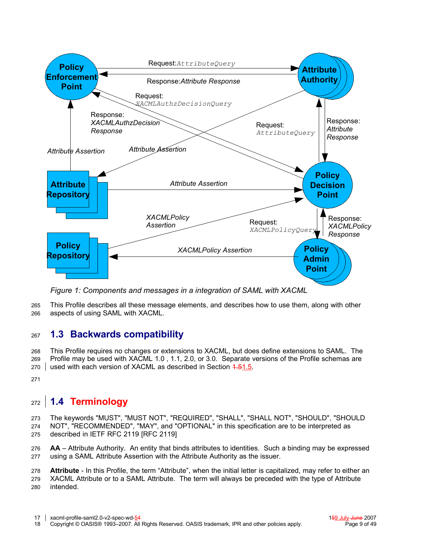

*Figure 1: Components and messages in a integration of SAML with XACML*

This Profile describes all these message elements, and describes how to use them, along with other aspects of using SAML with XACML. 265 266

#### **1.3 Backwards compatibility** 267

This Profile requires no changes or extensions to XACML, but does define extensions to SAML. The Profile may be used with XACML 1.0 , 1.1, 2.0, or 3.0. Separate versions of the Profile schemas are used with each version of XACML as described in Section 4.[51.5.](#page-10-0) 268 269 270

271

# <span id="page-8-0"></span>**1.4 Terminology** 272

The keywords "MUST", "MUST NOT", "REQUIRED", "SHALL", "SHALL NOT", "SHOULD", "SHOULD NOT", "RECOMMENDED", "MAY", and "OPTIONAL" in this specification are to be interpreted as described in IETF RFC 2119 [RFC [2119\]](#page-11-2) 273 274 275

**AA** – Attribute Authority. An entity that binds attributes to identities. Such a binding may be expressed using a SAML Attribute Assertion with the Attribute Authority as the issuer. 276 277

**Attribute** - In this Profile, the term "Attribute", when the initial letter is capitalized, may refer to either an 278

XACML Attribute or to a SAML Attribute. The term will always be preceded with the type of Attribute intended. 279 280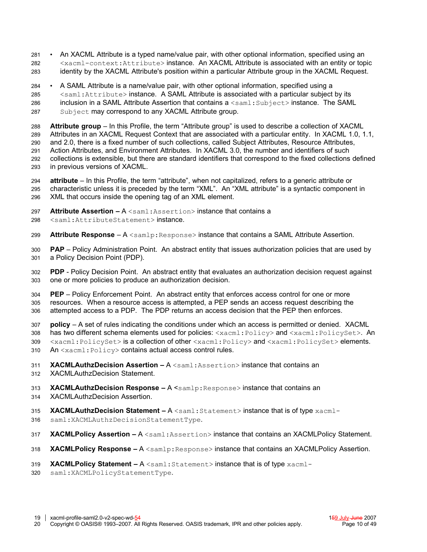• An XACML Attribute is a typed name/value pair, with other optional information, specified using an <xacml-context:Attribute> instance. An XACML Attribute is associated with an entity or topic identity by the XACML Attribute's position within a particular Attribute group in the XACML Request. 281 282 283

- A SAML Attribute is a name/value pair, with other optional information, specified using a 284
- <saml:Attribute> instance. A SAML Attribute is associated with a particular subject by its 285
- inclusion in a SAML Attribute Assertion that contains a <saml: Subject> instance. The SAML Subject may correspond to any XACML Attribute group. 286 287

**Attribute group** – In this Profile, the term "Attribute group" is used to describe a collection of XACML Attributes in an XACML Request Context that are associated with a particular entity. In XACML 1.0, 1.1, and 2.0, there is a fixed number of such collections, called Subject Attributes, Resource Attributes, Action Attributes, and Environment Attributes. In XACML 3.0, the number and identifiers of such collections is extensible, but there are standard identifiers that correspond to the fixed collections defined in previous versions of XACML. 288 289 290 291 292 293

**attribute** – In this Profile, the term "attribute", when not capitalized, refers to a generic attribute or characteristic unless it is preceded by the term "XML". An "XML attribute" is a syntactic component in XML that occurs inside the opening tag of an XML element. 294 295 296

- **Attribute Assertion –** A <saml:Assertion> instance that contains a 297
- <saml:AttributeStatement> instance. 298
- **Attribute Response** A <samlp: Response> instance that contains a SAML Attribute Assertion. 299

**PAP** – Policy Administration Point. An abstract entity that issues authorization policies that are used by a Policy Decision Point (PDP). 300 301

**PDP** - Policy Decision Point. An abstract entity that evaluates an authorization decision request against one or more policies to produce an authorization decision. 302 303

**PEP** – Policy Enforcement Point. An abstract entity that enforces access control for one or more resources. When a resource access is attempted, a PEP sends an access request describing the attempted access to a PDP. The PDP returns an access decision that the PEP then enforces. 304 305 306

**policy** – A set of rules indicating the conditions under which an access is permitted or denied. XACML has two different schema elements used for policies:  $\langle x \text{acml}: \text{Policy} \rangle$  and  $\langle x \text{acml}: \text{PolicySet}\rangle$ . An <xacml:PolicySet> is a collection of other <xacml:Policy> and <xacml:PolicySet> elements. An  $\langle x \text{acm} \rangle$ : Policy> contains actual access control rules. 307 308 309 310

- **XACMLAuthzDecision Assertion –** A <saml:Assertion> instance that contains an 311
- XACMLAuthzDecision Statement. 312
- **XACMLAuthzDecision Response A <samlp: Response> instance that contains an** 313
- XACMLAuthzDecision Assertion. 314
- **XACMLAuthzDecision Statement A** <saml: Statement> instance that is of type xacml-315
- saml:XACMLAuthzDecisionStatementType. 316
- **XACMLPolicy Assertion A** <saml:Assertion> instance that contains an XACMLPolicy Statement. 317
- **XACMLPolicy Response –** A <samlp:Response> instance that contains an XACMLPolicy Assertion. 318
- **XACMLPolicy Statement -** A <saml: Statement> instance that is of type xacml-319
- saml:XACMLPolicyStatementType. 320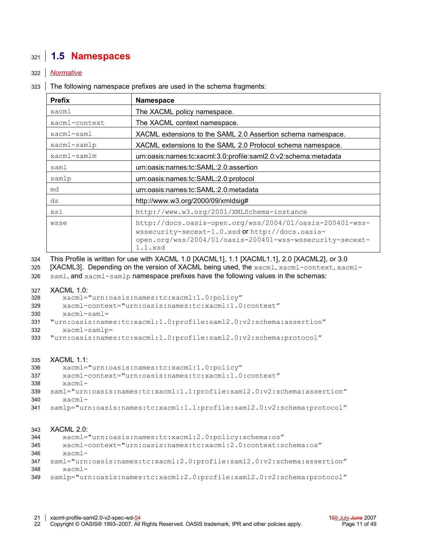## <span id="page-10-0"></span>**1.5 Namespaces** 321

### *Normative* 322

323 The following namespace prefixes are used in the schema fragments:

| <b>Prefix</b>                                                              | <b>Namespace</b>                                                                                                                                                                   |  |  |
|----------------------------------------------------------------------------|------------------------------------------------------------------------------------------------------------------------------------------------------------------------------------|--|--|
| xacml                                                                      | The XACML policy namespace.                                                                                                                                                        |  |  |
| xacml-context                                                              | The XACML context namespace.                                                                                                                                                       |  |  |
| XACML extensions to the SAML 2.0 Assertion schema namespace.<br>xacml-saml |                                                                                                                                                                                    |  |  |
| xacml-samlp                                                                | XACML extensions to the SAML 2.0 Protocol schema namespace.                                                                                                                        |  |  |
| xacml-samlm                                                                | urn:oasis:names:tc:xacml:3.0:profile:saml2.0:v2:schema:metadata                                                                                                                    |  |  |
| saml                                                                       | urn:oasis:names:tc:SAML:2.0:assertion                                                                                                                                              |  |  |
| samlp                                                                      | urn:oasis:names:tc:SAML:2.0:protocol                                                                                                                                               |  |  |
| md                                                                         | urn:oasis:names:tc:SAML:2.0:metadata                                                                                                                                               |  |  |
| ds                                                                         | http://www.w3.org/2000/09/xmldsig#                                                                                                                                                 |  |  |
| xsi                                                                        | http://www.w3.org/2001/XMLSchema-instance                                                                                                                                          |  |  |
| wsse                                                                       | http://docs.oasis-open.org/wss/2004/01/oasis-200401-wss-<br>wssecurity-secext-1.0.xsd Of http://docs.oasis-<br>open.org/wss/2004/01/oasis-200401-wss-wssecurity-secext-<br>1.1.xsd |  |  |

This Profile is written for use with XACML 1.0 [\[XACML1\],](#page-11-6) 1.1 [\[XACML1.1\],](#page-11-5) 2.0 [\[XACML2\],](#page-11-4) or 3.0 324

- [\[XACML3\].](#page-11-3) Depending on the version of XACML being used, the xacml, xacml-context, xacml-325
- saml, and xacml-samlp namespace prefixes have the following values in the schemas: 326

#### XACML 1.0: 327

 xacml="urn:oasis:names:tc:xacml:1.0:policy" 328

 xacml-context="urn:oasis:names:tc:xacml:1.0:context" 329

- xacml-saml= 330
- "urn:oasis:names:tc:xacml:1.0:profile:saml2.0:v2:schema:assertion" xacml-samlp= 331 332
- "urn:oasis:names:tc:xacml:1.0:profile:saml2.0:v2:schema:protocol" 333

#### XACML 1.1: 335

- xacml="urn:oasis:names:tc:xacml:1.0:policy" 336
- xacml-context="urn:oasis:names:tc:xacml:1.0:context" 337
- xacml-338
- saml="urn:oasis:names:tc:xacml:1.1:profile:saml2.0:v2:schema:assertion" xacml-339 340
- samlp="urn:oasis:names:tc:xacml:1.1:profile:saml2.0:v2:schema:protocol" 341

#### XACML 2.0: 343

- xacml="urn:oasis:names:tc:xacml:2.0:policy:schema:os" 344
- xacml-context="urn:oasis:names:tc:xacml:2.0:context:schema:os" 345
- xacml-346
- saml="urn:oasis:names:tc:xacml:2.0:profile:saml2.0:v2:schema:assertion" xacml-347 348
- samlp="urn:oasis:names:tc:xacml:2.0:profile:saml2.0:v2:schema:protocol" 349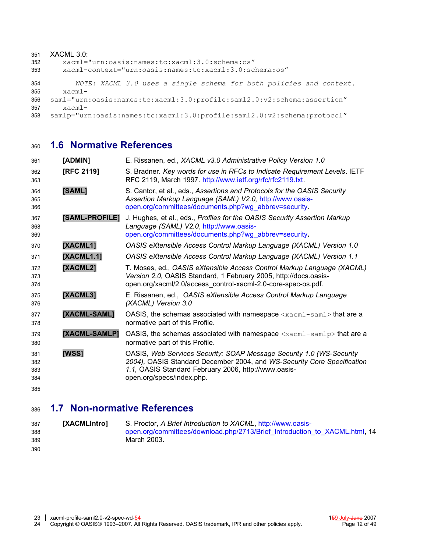#### XACML 3.0: xacml="urn:oasis:names:tc:xacml:3.0:schema:os" xacml-context="urn:oasis:names:tc:xacml:3.0:schema:os" *NOTE: XACML 3.0 uses a single schema for both policies and context.* xacmlsaml="urn:oasis:names:tc:xacml:3.0:profile:saml2.0:v2:schema:assertion" xacmlsamlp="urn:oasis:names:tc:xacml:3.0:profile:saml2.0:v2:schema:protocol" 351 352 353 354 355 356 357 358

#### **1.6 Normative References** 360

<span id="page-11-10"></span><span id="page-11-7"></span><span id="page-11-6"></span><span id="page-11-5"></span><span id="page-11-4"></span><span id="page-11-2"></span><span id="page-11-0"></span>

| [RFC 2119]     | S. Bradner. Key words for use in RFCs to Indicate Requirement Levels. IETF<br>RFC 2119, March 1997. http://www.ietf.org/rfc/rfc2119.txt.                                                                                             |
|----------------|--------------------------------------------------------------------------------------------------------------------------------------------------------------------------------------------------------------------------------------|
| [SAML]         | S. Cantor, et al., eds., Assertions and Protocols for the OASIS Security<br>Assertion Markup Language (SAML) V2.0, http://www.oasis-<br>open.org/committees/documents.php?wg_abbrev=security.                                        |
| [SAML-PROFILE] | J. Hughes, et al., eds., Profiles for the OASIS Security Assertion Markup<br>Language (SAML) V2.0, http://www.oasis-<br>open.org/committees/documents.php?wg_abbrev=security.                                                        |
| [XACML1]       | OASIS eXtensible Access Control Markup Language (XACML) Version 1.0                                                                                                                                                                  |
| [XACML1.1]     | OASIS eXtensible Access Control Markup Language (XACML) Version 1.1                                                                                                                                                                  |
| [XACML2]       | T. Moses, ed., OASIS eXtensible Access Control Markup Language (XACML)<br>Version 2.0, OASIS Standard, 1 February 2005, http://docs.oasis-<br>open.org/xacml/2.0/access_control-xacml-2.0-core-spec-os.pdf.                          |
| [XACML3]       | E. Rissanen, ed., OASIS eXtensible Access Control Markup Language<br>(XACML) Version 3.0                                                                                                                                             |
| [XACML-SAML]   | OASIS, the schemas associated with namespace $\langle x \rangle$ $\langle x \rangle$ and $\langle x \rangle$ that are a<br>normative part of this Profile.                                                                           |
| [XACML-SAMLP]  | OASIS, the schemas associated with namespace $\langle x \text{acm} 1 - \text{samlp} \rangle$ that are a<br>normative part of this Profile.                                                                                           |
| [WSS]          | OASIS, Web Services Security: SOAP Message Security 1.0 (WS-Security<br>2004), OASIS Standard December 2004, and WS-Security Core Specification<br>1.1, OASIS Standard February 2006, http://www.oasis-<br>open.org/specs/index.php. |
|                |                                                                                                                                                                                                                                      |

#### <span id="page-11-9"></span><span id="page-11-8"></span><span id="page-11-3"></span>**1.7 Non-normative References** 386

```
[XACMLIntro] S. Proctor, A Brief Introduction to XACML, http://www.oasis-
                            open.org/committees/download.php/2713/Brief_Introduction_to_XACML.html, 14
                            March 2003.
387
388
389
390
```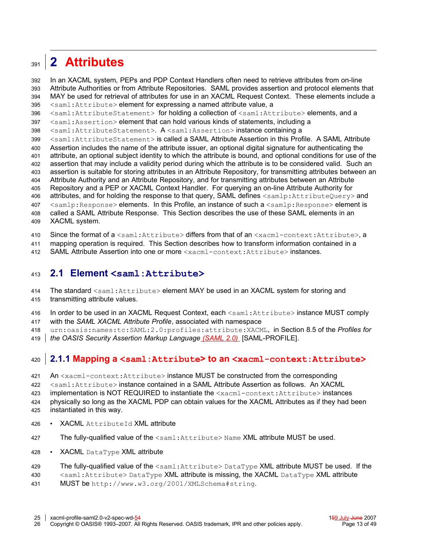#### <span id="page-12-0"></span>**2 Attributes** 391

In an XACML system, PEPs and PDP Context Handlers often need to retrieve attributes from on-line Attribute Authorities or from Attribute Repositories. SAML provides assertion and protocol elements that MAY be used for retrieval of attributes for use in an XACML Request Context. These elements include a <saml:Attribute> element for expressing a named attribute value, a 392 393 394 395

<saml:AttributeStatement> for holding a collection of <saml:Attribute> elements, and a 396

<saml:Assertion> element that can hold various kinds of statements, including a 397

<saml:AttributeStatement>. A <saml:Assertion> instance containing a 398

<saml:AttributeStatement> is called a SAML Attribute Assertion in this Profile. A SAML Attribute 399

Assertion includes the name of the attribute issuer, an optional digital signature for authenticating the attribute, an optional subject identity to which the attribute is bound, and optional conditions for use of the 400 401

assertion that may include a validity period during which the attribute is to be considered valid. Such an 402

assertion is suitable for storing attributes in an Attribute Repository, for transmitting attributes between an 403

Attribute Authority and an Attribute Repository, and for transmitting attributes between an Attribute 404

Repository and a PEP or XACML Context Handler. For querying an on-line Attribute Authority for 405 406

attributes, and for holding the response to that query, SAML defines <samlp:AttributeQuery> and <samlp:Response> elements. In this Profile, an instance of such a <samlp:Response> element is 407

called a SAML Attribute Response. This Section describes the use of these SAML elements in an 408

XACML system. 409

Since the format of  $a \leq \text{saml:Attribute>}$  differs from that of an  $\leq \text{acml-context:Attribute>}$ . a 410

mapping operation is required. This Section describes how to transform information contained in a 411

SAML Attribute Assertion into one or more <xacml-context:Attribute> instances. 412

#### **2.1 Element <saml:Attribute>** 413

The standard <saml: Attribute> element MAY be used in an XACML system for storing and transmitting attribute values. 414 415

- In order to be used in an XACML Request Context, each <saml:Attribute> instance MUST comply 416
- with the *SAML XACML Attribute Profile*, associated with namespace 417

urn:oasis:names:tc:SAML:2.0:profiles:attribute:XACML, in Section 8.5 of the *Profiles for* 418

*the OASIS Security Assertion Markup Language (SAML 2.0)* [\[SAML-PROFILE\].](#page-11-7) 419

#### <span id="page-12-1"></span>**2.1.1 Mapping a <saml:Attribute> to an <xacml-context:Attribute>** 420

An <xacml-context:Attribute> instance MUST be constructed from the corresponding 421

<saml:Attribute> instance contained in a SAML Attribute Assertion as follows. An XACML 422

implementation is NOT REQUIRED to instantiate the <xacml-context:Attribute> instances 423

physically so long as the XACML PDP can obtain values for the XACML Attributes as if they had been instantiated in this way. 424 425

- XACML AttributeId XML attribute 426
- The fully-qualified value of the <saml:Attribute> Name XML attribute MUST be used. 427
- XACML DataType XML attribute 428

#### The fully-qualified value of the  $\leq$ saml:Attribute>DataType XML attribute MUST be used. If the 429

<saml:Attribute> DataType XML attribute is missing, the XACML DataType XML attribute 430

MUST be http://www.w3.org/2001/XMLSchema#string. 431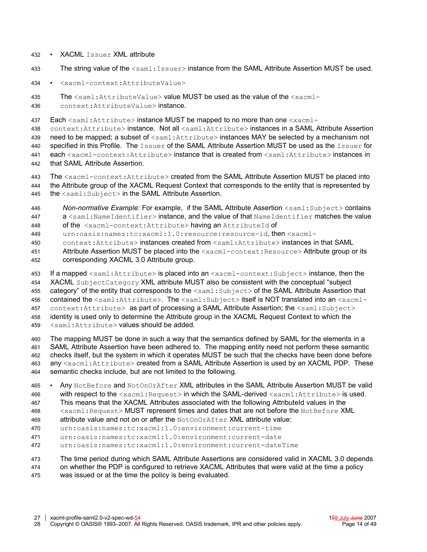- XACML Issuer XML attribute 432
- The string value of the <saml:Issuer>instance from the SAML Attribute Assertion MUST be used. 433
- <xacml-context:AttributeValue> 434

The  $\leq$ saml:AttributeValue> value MUST be used as the value of the  $\leq$ xacml-435

context:AttributeValue> instance. 436

Each <saml:Attribute> instance MUST be mapped to no more than one <xacml-437

context: Attribute> instance. Not all <saml: Attribute> instances in a SAML Attribute Assertion need to be mapped; a subset of <saml:Attribute> instances MAY be selected by a mechanism not specified in this Profile. The Issuer of the SAML Attribute Assertion MUST be used as the Issuer for each <xacml-context:Attribute> instance that is created from <saml:Attribute> instances in that SAML Attribute Assertion. 438 439 440 441 442

- The <xacml-context:Attribute> created from the SAML Attribute Assertion MUST be placed into the Attribute group of the XACML Request Context that corresponds to the entity that is represented by the <saml:Subject> in the SAML Attribute Assertion. 443 444 445
- *Non-normative Example:* For example, if the SAML Attribute Assertion <saml:Subject> contains a <saml:NameIdentifier>instance, and the value of that NameIdentifier matches the value 446 447

of the <xacml-context:Attribute> having an AttributeId of 448

urn:oasis:names:tc:xacml:1.0:resource:resource-id, then <xacml-449

context:Attribute> instances created from <saml:Attribute> instances in that SAML 450

- Attribute Assertion MUST be placed into the <xacml-context:Resource>Attribute group or its corresponding XACML 3.0 Attribute group. 451 452
- If a mapped  $\leq$ saml:Attribute> is placed into an  $\leq$ xacml-context:Subject> instance, then the XACML SubjectCategory XML attribute MUST also be consistent with the conceptual "subject category" of the entity that corresponds to the <saml: Subject> of the SAML Attribute Assertion that contained the <saml:Attribute>. The <saml:Subject> itself is NOT translated into an <xacmlcontext:Attribute> as part of processing a SAML Attribute Assertion; the <saml:Subject> identity is used only to determine the Attribute group in the XACML Request Context to which the 453 454 455 456 457 458
- <saml:Attribute> values should be added. 459

The mapping MUST be done in such a way that the semantics defined by SAML for the elements in a SAML Attribute Assertion have been adhered to. The mapping entity need not perform these semantic checks itself, but the system in which it operates MUST be such that the checks have been done before any <xacml:Attribute> created from a SAML Attribute Assertion is used by an XACML PDP. These semantic checks include, but are not limited to the following. 460 461 462 463 464

- Any NotBefore and NotOnOrAfter XML attributes in the SAML Attribute Assertion MUST be valid with respect to the <xacml:Request> in which the SAML-derived <xacml:Attribute> is used. This means that the XACML Attributes associated with the following AttributeId values in the <xacml:Request> MUST represent times and dates that are not before the NotBefore XML 465 466 467 468
- attribute value and not on or after the NotOnOrAfter XML attribute value: 469
- urn:oasis:names:tc:xacml:1.0:environment:current-time 470
- urn:oasis:names:tc:xacml:1.0:environment:current-date 471
- urn:oasis:names:tc:xacml:1.0:environment:current-dateTime 472
- The time period during which SAML Attribute Assertions are considered valid in XACML 3.0 depends 473

on whether the PDP is configured to retrieve XACML Attributes that were valid at the time a policy was issued or at the time the policy is being evaluated. 474 475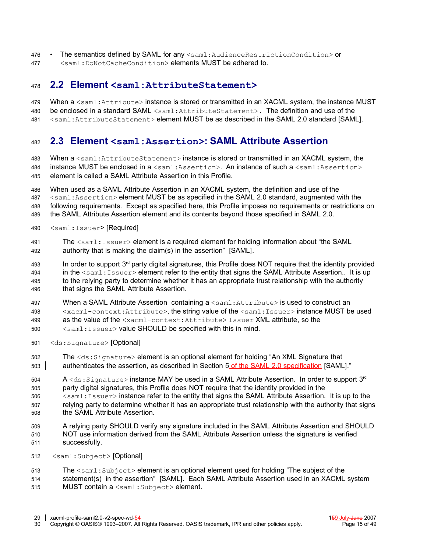- The semantics defined by SAML for any  $\leq$  saml: Audience Restriction Condition> or 476
- <saml:DoNotCacheCondition> elements MUST be adhered to. 477

#### **2.2 Element <saml:AttributeStatement>** 478

- When a <saml:Attribute> instance is stored or transmitted in an XACML system, the instance MUST 479
- be enclosed in a standard SAML <saml:AttributeStatement>. The definition and use of the 480
- <saml:AttributeStatement> element MUST be as described in the SAML 2.0 standard [\[SAML\].](#page-11-0) 481

#### **2.3 Element <saml:Assertion>: SAML Attribute Assertion** 482

When a  $\leq$ saml: AttributeStatement> instance is stored or transmitted in an XACML system, the instance MUST be enclosed in  $a$  < saml: Assertion >. An instance of such  $a$  < saml: Assertion > element is called a SAML Attribute Assertion in this Profile. 483 484 485

When used as a SAML Attribute Assertion in an XACML system, the definition and use of the <saml:Assertion> element MUST be as specified in the SAML 2.0 standard, augmented with the following requirements. Except as specified here, this Profile imposes no requirements or restrictions on the SAML Attribute Assertion element and its contents beyond those specified in SAML 2.0. 486 487 488 489

- <saml:Issuer> [Required] 490
- The  $\leq$ saml: Issuer> element is a required element for holding information about "the SAML authority that is making the claim(s) in the assertion" [\[SAML\].](#page-11-0) 491 492
- In order to support  $3<sup>rd</sup>$  party digital signatures, this Profile does NOT require that the identity provided in the <saml: Issuer> element refer to the entity that signs the SAML Attribute Assertion.. It is up to the relying party to determine whether it has an appropriate trust relationship with the authority that signs the SAML Attribute Assertion. 493 494 495 496
- When a SAML Attribute Assertion containing a <saml: Attribute> is used to construct an 497
- <xacml-context:Attribute>, the string value of the <saml:Issuer> instance MUST be used as the value of the <xacml-context:Attribute> Issuer XML attribute, so the 498 499
- 
- <saml:Issuer> value SHOULD be specified with this in mind. 500
- <ds:Signature> [Optional] 501
- The <ds:Signature> element is an optional element for holding "An XML Signature that authenticates the assertion, as described in Section 5 of the SAML 2.0 specification [\[SAML\].](#page-11-0)" 502 503
- A  $\lessdot$ ds:Signature> instance MAY be used in a SAML Attribute Assertion. In order to support 3<sup>rd</sup> 504
- party digital signatures, this Profile does NOT require that the identity provided in the 505
- <saml:Issuer> instance refer to the entity that signs the SAML Attribute Assertion. It is up to the relying party to determine whether it has an appropriate trust relationship with the authority that signs the SAML Attribute Assertion. 506 507 508
- A relying party SHOULD verify any signature included in the SAML Attribute Assertion and SHOULD NOT use information derived from the SAML Attribute Assertion unless the signature is verified successfully. 509 510 511
- <saml:Subject> [Optional] 512
- The  $\leq$ saml: Subject> element is an optional element used for holding "The subject of the 513
- statement(s) in the assertion" [\[SAML\].](#page-11-0) Each SAML Attribute Assertion used in an XACML system MUST contain a <saml:Subject> element. 514 515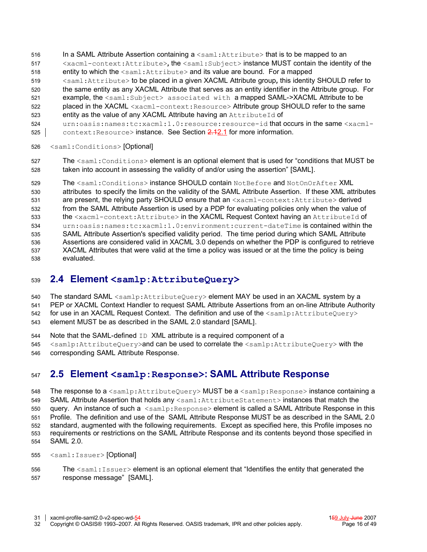- In a SAML Attribute Assertion containing  $a \leq \text{saml:Attribute} >$  that is to be mapped to an 516
- <xacml-context:Attribute>*,* the <saml:Subject> instance MUST contain the identity of the entity to which the <saml: Attribute> and its value are bound. For a mapped 517 518
- <saml:Attribute> to be placed in a given XACML Attribute group*,* this identity SHOULD refer to 519
- the same entity as any XACML Attribute that serves as an entity identifier in the Attribute group. For 520
- example, the <saml:Subject> associated with a mapped SAML->XACML Attribute to be 521
- placed in the XACML <xacml-context:Resource> Attribute group SHOULD refer to the same entity as the value of any XACML Attribute having an AttributeId of 522 523
- urn:oasis:names:tc:xacml:1.0:resource:resource-id that occurs in the same <xacml-524
- context: Resource> instance. See Section 2.[12.1](#page-12-1) for more information. 525
- <saml:Conditions> [Optional] 526
- The <saml: Conditions> element is an optional element that is used for "conditions that MUST be taken into account in assessing the validity of and/or using the assertion" [\[SAML\].](#page-11-0) 527 528

The <saml:Conditions> instance SHOULD contain NotBefore and NotOnOrAfter XML attributes to specify the limits on the validity of the SAML Attribute Assertion. If these XML attributes are present, the relying party SHOULD ensure that an <xacml-context:Attribute> derived from the SAML Attribute Assertion is used by a PDP for evaluating policies only when the value of the <xacml-context:Attribute> in the XACML Request Context having an AttributeId of urn:oasis:names:tc:xacml:1.0:environment:current-dateTime is contained within the SAML Attribute Assertion's specified validity period. The time period during which SAML Attribute Assertions are considered valid in XACML 3.0 depends on whether the PDP is configured to retrieve XACML Attributes that were valid at the time a policy was issued or at the time the policy is being evaluated. 529 530 531 532 533 534 535 536 537 538

#### **2.4 Element <samlp:AttributeQuery>** 539

- The standard SAML <samlp:AttributeQuery> element MAY be used in an XACML system by a 540
- PEP or XACML Context Handler to request SAML Attribute Assertions from an on-line Attribute Authority 541
- for use in an XACML Request Context. The definition and use of the <samlp:AttributeQuery> 542
- element MUST be as described in the SAML 2.0 standard [\[SAML\].](#page-11-0) 543
- Note that the SAML-defined ID XML attribute is a required component of a 544
- <samlp:AttributeQuery>and can be used to correlate the <samlp:AttributeQuery> with the 545
- corresponding SAML Attribute Response. 546

#### **2.5 Element <samlp:Response>: SAML Attribute Response** 547

The response to a <samlp:AttributeQuery> MUST be a <samlp:Response> instance containing a SAML Attribute Assertion that holds any <saml:AttributeStatement> instances that match the query. An instance of such  $a$   $\leq$ samlp: Response $>$  element is called a SAML Attribute Response in this Profile. The definition and use of the SAML Attribute Response MUST be as described in the SAML 2.0 standard, augmented with the following requirements. Except as specified here, this Profile imposes no requirements or restrictions on the SAML Attribute Response and its contents beyond those specified in SAML 2.0. 548 549 550 551 552 553 554

- <saml:Issuer> [Optional] 555
- The  $\leq$ saml: Issuer> element is an optional element that "Identifies the entity that generated the response message" [\[SAML\].](#page-11-0) 556 557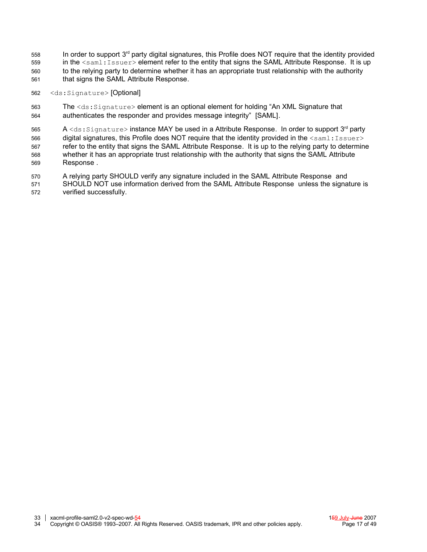- In order to support  $3<sup>rd</sup>$  party digital signatures, this Profile does NOT require that the identity provided in the  $\leq$ saml: Issuer> element refer to the entity that signs the SAML Attribute Response. It is up to the relying party to determine whether it has an appropriate trust relationship with the authority that signs the SAML Attribute Response. 558 559 560 561
- <ds:Signature> [Optional] 562
- The <ds:Signature> element is an optional element for holding "An XML Signature that authenticates the responder and provides message integrity" [\[SAML\].](#page-11-0) 563 564

A <ds:Signature> instance MAY be used in a Attribute Response. In order to support 3<sup>rd</sup> party digital signatures, this Profile does NOT require that the identity provided in the  $\langle \text{saml:Issuer}\rangle$ refer to the entity that signs the SAML Attribute Response. It is up to the relying party to determine whether it has an appropriate trust relationship with the authority that signs the SAML Attribute Response . 565 566 567 568 569

A relying party SHOULD verify any signature included in the SAML Attribute Response and SHOULD NOT use information derived from the SAML Attribute Response unless the signature is verified successfully. 570 571 572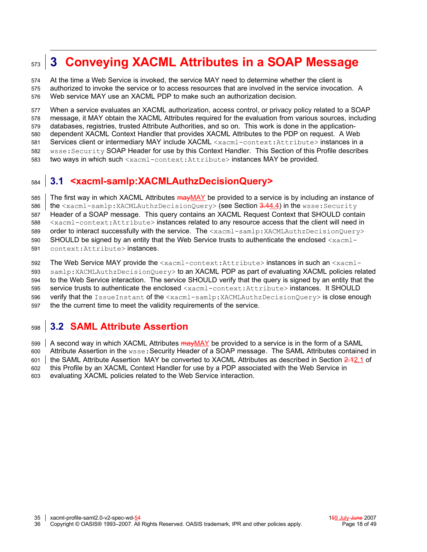#### <span id="page-17-0"></span>**3 Conveying XACML Attributes in a SOAP Message** 573

At the time a Web Service is invoked, the service MAY need to determine whether the client is authorized to invoke the service or to access resources that are involved in the service invocation. A Web service MAY use an XACML PDP to make such an authorization decision. 574 575 576

When a service evaluates an XACML authorization, access control, or privacy policy related to a SOAP message, it MAY obtain the XACML Attributes required for the evaluation from various sources, including databases, registries, trusted Attribute Authorities, and so on. This work is done in the applicationdependent XACML Context Handler that provides XACML Attributes to the PDP on request. A Web Services client or intermediary MAY include XACML <xacml-context:Attribute> instances in a wsse:Security SOAP Header for use by this Context Handler. This Section of this Profile describes two ways in which such <xacml-context:Attribute> instances MAY be provided. 577 578 579 580 581 582 583

#### <span id="page-17-2"></span>**3.1 <xacml-samlp:XACMLAuthzDecisionQuery>** 584

The first way in which XACML Attributes  $\frac{mayMAY}{AY}$  be provided to a service is by including an instance of the <xacml-samlp:XACMLAuthzDecisionQuery> (see Section 3.[44.4\)](#page-21-0) in the wsse:Security Header of a SOAP message. This query contains an XACML Request Context that SHOULD contain <xacml-context:Attribute> instances related to any resource access that the client will need in order to interact successfully with the service. The <xacml-samlp:XACMLAuthzDecisionQuery> SHOULD be signed by an entity that the Web Service trusts to authenticate the enclosed  $\langle x \text{a} \text{cm} \text{1}$ context:Attribute> instances. 585 586 587 588 589 590 591

The Web Service MAY provide the <xacml-context:Attribute> instances in such an <xacmlsamlp:XACMLAuthzDecisionQuery> to an XACML PDP as part of evaluating XACML policies related to the Web Service interaction. The service SHOULD verify that the query is signed by an entity that the service trusts to authenticate the enclosed <xacml-context:Attribute> instances. It SHOULD verify that the IssueInstant of the <xacml-samlp:XACMLAuthzDecisionQuery> is close enough the the current time to meet the validity requirements of the service. 592 593 594 595 596 597

#### <span id="page-17-1"></span>**3.2 SAML Attribute Assertion** 598

A second way in which XACML Attributes  $\frac{\text{max} (M - 1)}{M}$  be provided to a service is in the form of a SAML Attribute Assertion in the  $w$ sse: Security Header of a SOAP message. The SAML Attributes contained in the SAML Attribute Assertion MAY be converted to XACML Attributes as described in Section 2.[12.1](#page-12-1) of this Profile by an XACML Context Handler for use by a PDP associated with the Web Service in 599 600 601 602

evaluating XACML policies related to the Web Service interaction. 603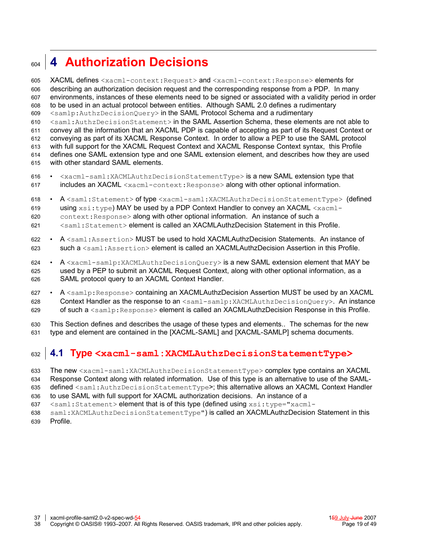#### <span id="page-18-0"></span>**4 Authorization Decisions** 604

XACML defines <xacml-context:Request> and <xacml-context:Response> elements for describing an authorization decision request and the corresponding response from a PDP. In many environments, instances of these elements need to be signed or associated with a validity period in order to be used in an actual protocol between entities. Although SAML 2.0 defines a rudimentary <samlp:AuthzDecisionQuery> in the SAML Protocol Schema and a rudimentary <saml:AuthzDecisionStatement> in the SAML Assertion Schema, these elements are not able to convey all the information that an XACML PDP is capable of accepting as part of its Request Context or conveying as part of its XACML Response Context. In order to allow a PEP to use the SAML protocol with full support for the XACML Request Context and XACML Response Context syntax, this Profile defines one SAML extension type and one SAML extension element, and describes how they are used with other standard SAML elements. 605 606 607 608 609 610 611 612 613 614 615

- <xacml-saml:XACMLAuthzDecisionStatementType> is a new SAML extension type that includes an XACML <xacml-context: Response> along with other optional information. 616 617
- A <saml:Statement> of type <xacml-saml:XACMLAuthzDecisionStatementType> (defined using  $x\sin t$  ype) MAY be used by a PDP Context Handler to convey an XACML  $\cos t$ context:Response> along with other optional information. An instance of such a <saml:Statement> element is called an XACMLAuthzDecision Statement in this Profile. 618 619 620 621
- A  $\leq$ saml:Assertion> MUST be used to hold XACMLAuthzDecision Statements. An instance of such a  $\leq$ saml:Assertion> element is called an XACMLAuthzDecision Assertion in this Profile. 622 623
- A <xacml-samlp:XACMLAuthzDecisionQuery> is a new SAML extension element that MAY be used by a PEP to submit an XACML Request Context, along with other optional information, as a SAML protocol query to an XACML Context Handler. 624 625 626
- A <samlp:Response> containing an XACMLAuthzDecision Assertion MUST be used by an XACML Context Handler as the response to an <saml-samlp:XACMLAuthzDecisionQuery>. An instance of such a  $\leq$ samlp:Response> element is called an XACMLAuthzDecision Response in this Profile. 627 628 629

This Section defines and describes the usage of these types and elements.. The schemas for the new type and element are contained in the [\[XACML-SAML\]](#page-11-9) and [\[XACML-SAMLP\]](#page-11-8) schema documents. 630 631

#### <span id="page-18-1"></span>**4.1 Type <xacml-saml:XACMLAuthzDecisionStatementType>** 632

- The new <xacml-saml:XACMLAuthzDecisionStatementType> complex type contains an XACML 633
- Response Context along with related information. Use of this type is an alternative to use of the SAML-634
- defined <saml:AuthzDecisionStatementType>; this alternative allows an XACML Context Handler 635
- to use SAML with full support for XACML authorization decisions. An instance of a 636
- <saml:Statement> element that is of this type (defined using xsi:type="xacml-637
- saml:XACMLAuthzDecisionStatementType") is called an XACMLAuthzDecision Statement in this Profile. 638 639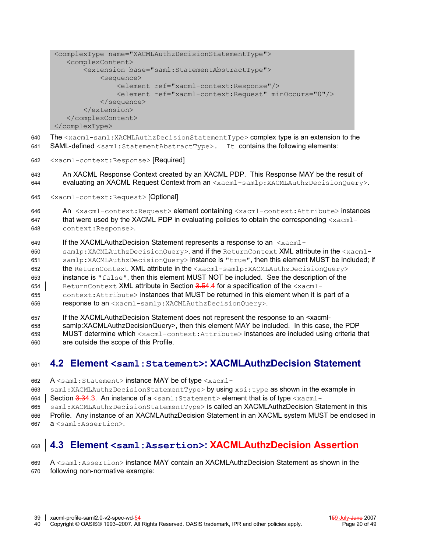```
<complexType name="XACMLAuthzDecisionStatementType">
   <complexContent>
        <extension base="saml:StatementAbstractType">
            <sequence>
                <element ref="xacml-context:Response"/>
                <element ref="xacml-context:Request" minOccurs="0"/>
            </sequence>
        </extension>
   </complexContent>
</complexType>
```
The <xacml-saml:XACMLAuthzDecisionStatementType> complex type is an extension to the 640

- SAML-defined <saml:StatementAbstractType>. It contains the following elements: 641
- <xacml-context:Response> [Required] 642

An XACML Response Context created by an XACML PDP. This Response MAY be the result of evaluating an XACML Request Context from an <xacml-samlp:XACMLAuthzDecisionQuery>. 643 644

<xacml-context:Request> [Optional] 645

An <xacml-context:Request> element containing <xacml-context:Attribute> instances that were used by the XACML PDP in evaluating policies to obtain the corresponding  $\langle x \text{a} \text{cm} \text{1}$ context:Response>. 646 647 648

If the XACMLAuthzDecision Statement represents a response to an  $\leq x \cdot \text{acm}$ 649

samlp:XACMLAuthzDecisionQuery>, and if the ReturnContext XML attribute in the <xacml-650 651

samlp:XACMLAuthzDecisionQuery> instance is "true", then this element MUST be included; if the ReturnContext XML attribute in the <xacml-samlp:XACMLAuthzDecisionOuery> 652

instance is  $"false"$ , then this element MUST NOT be included. See the description of the 653

ReturnContext XML attribute in Section 3.[54.4](#page-21-0) for a specification of the <xacml-654

context: Attribute> instances that MUST be returned in this element when it is part of a 655

- response to an <xacml-samlp:XACMLAuthzDecisionQuery>. 656
- If the XACMLAuthzDecision Statement does not represent the response to an <xacml-657

samlp:XACMLAuthzDecisionQuery>, then this element MAY be included. In this case, the PDP 658

MUST determine which <xacml-context:Attribute> instances are included using criteria that are outside the scope of this Profile. 659 660

#### **4.2 Element <saml:Statement>: XACMLAuthzDecision Statement** 661

A <saml:Statement> instance MAY be of type <xacml-662

saml:XACMLAuthzDecisionStatementType> by using xsi:type as shown in the example in 663

Section 3.[34.3.](#page-19-0) An instance of a <saml:Statement> element that is of type <xacml-664

saml:XACMLAuthzDecisionStatementType> i**s called an XACMLAuthzDecision Statement in this** 665

Profile. Any instance of an XACMLAuthzDecision Statement in an XACML system MUST be enclosed in 666

a <saml:Assertion>. 667

#### <span id="page-19-0"></span>**4.3 Element <saml:Assertion>: XACMLAuthzDecision Assertion** 668

A <saml:Assertion> instance MAY contain an XACMLAuthzDecision Statement as shown in the following non-normative example: 669 670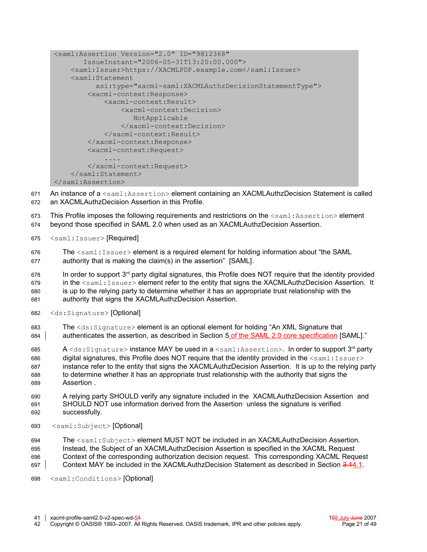```
<saml:Assertion Version="2.0" ID="9812368"
        IssueInstant="2006-05-31T13:20:00.000">
     <saml:Issuer>https://XACMLPDP.example.com</saml:Issuer>
     <saml:Statement
           xsi:type="xacml-saml:XACMLAuthzDecisionStatementType">
         <xacml-context:Response>
             <xacml-context:Result>
                 <xacml-context:Decision>
                     NotApplicable
                 </xacml-context:Decision>
             </xacml-context:Result>
         </xacml-context:Response>
         <xacml-context:Request>
              ....
         </xacml-context:Request>
     </saml:Statement>
</saml:Assertion>
```
An instance of a <saml:Assertion> element containing an XACMLAuthzDecision Statement is called an XACMLAuthzDecision Assertion in this Profile. 671 672

This Profile imposes the following requirements and restrictions on the  $\leq$ saml:Assertion> element 673

beyond those specified in SAML 2.0 when used as an XACMLAuthzDecision Assertion. 674

<saml:Issuer> [Required] 675

The  $\le$ saml: Issuer> element is a required element for holding information about "the SAML authority that is making the claim(s) in the assertion" [\[SAML\].](#page-11-0) 676 677

In order to support  $3<sup>rd</sup>$  party digital signatures, this Profile does NOT require that the identity provided 678

in the <saml:Issuer> element refer to the entity that signs the XACMLAuthzDecision Assertion. It 679 680

is up to the relying party to determine whether it has an appropriate trust relationship with the authority that signs the XACMLAuthzDecision Assertion. 681

- <ds:Signature> [Optional] 682
- The <ds:Signature> element is an optional element for holding "An XML Signature that authenticates the assertion, as described in Section 5 of the SAML 2.0 core specification [\[SAML\].](#page-11-0)" 683 684

 ${\sf A} <$ d ${\rm s}$ : ${\rm Si}$ gnature $>$  ins $ance MAY be used in a  $<$ saml: ${\rm As}$ sertion $>$ . In order to support  $3^{\sf rd}$  party$ digital signatures, this Profile does NOT require that the identity provided in the  $\leq$ saml: Issuer> instance refer to the entity that signs the XACMLAuthzDecision Assertion. It is up to the relying party to determine whether it has an appropriate trust relationship with the authority that signs the Assertion . 685 686 687 688 689

A relying party SHOULD verify any signature included in the XACMLAuthzDecision Assertion and SHOULD NOT use information derived from the Assertion unless the signature is verified successfully. 690 691 692

<saml:Subject> [Optional] 693

The <saml:Subject> element MUST NOT be included in an XACMLAuthzDecision Assertion. 694

Instead, the Subject of an XACMLAuthzDecision Assertion is specified in the XACML Request 695

Context of the corresponding authorization decision request. This corresponding XACML Request Context MAY be included in the XACMLAuthzDecision Statement as described in Section 3.[14.1.](#page-18-1) 696 697

<saml:Conditions> [Optional] 698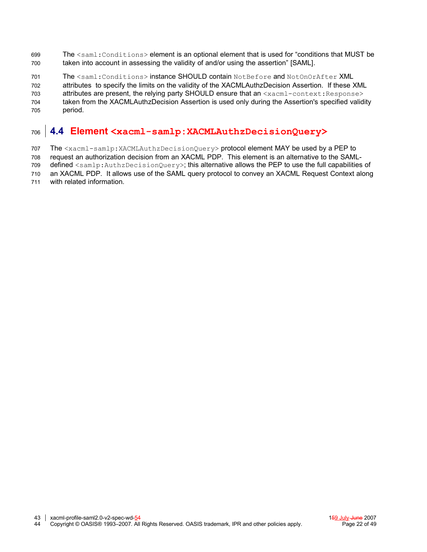- The <saml: Conditions> element is an optional element that is used for "conditions that MUST be taken into account in assessing the validity of and/or using the assertion" [\[SAML\].](#page-11-0) 699 700
- The <saml:Conditions> instance SHOULD contain NotBefore and NotOnOrAfter XML 701
- attributes to specify the limits on the validity of the XACMLAuthzDecision Assertion. If these XML 702
- attributes are present, the relying party SHOULD ensure that an <xacml-context: Response> taken from the XACMLAuthzDecision Assertion is used only during the Assertion's specified validity 703 704
- period. 705

#### <span id="page-21-0"></span>**4.4 Element <xacml-samlp:XACMLAuthzDecisionQuery>** 706

- The <xacml-samlp:XACMLAuthzDecisionQuery> protocol element MAY be used by a PEP to 707
- request an authorization decision from an XACML PDP. This element is an alternative to the SAML-708
- defined <samlp:AuthzDecisionQuery>; this alternative allows the PEP to use the full capabilities of 709
- an XACML PDP. It allows use of the SAML query protocol to convey an XACML Request Context along 710
- with related information. 711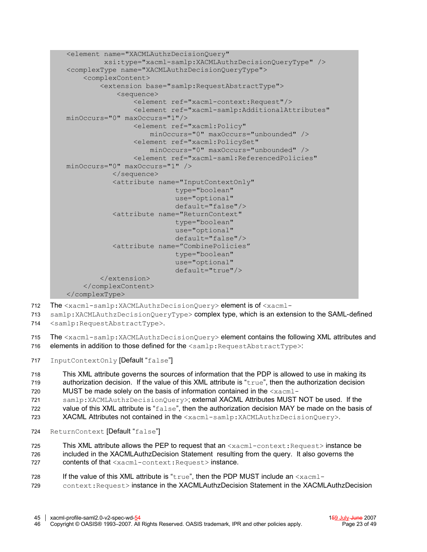```
<element name="XACMLAuthzDecisionQuery"
          xsi:type="xacml-samlp:XACMLAuthzDecisionQueryType" />
<complexType name="XACMLAuthzDecisionQueryType">
     <complexContent>
         <extension base="samlp:RequestAbstractType">
             <sequence>
                  <element ref="xacml-context:Request"/>
                  <element ref="xacml-samlp:AdditionalAttributes"
minOccurs="0" maxOccurs="1"/>
                 <element ref="xacml:Policy"
                      minOccurs="0" maxOccurs="unbounded" />
                  <element ref="xacml:PolicySet"
                      minOccurs="0" maxOccurs="unbounded" />
                  <element ref="xacml-saml:ReferencedPolicies"
minOccurs="0" maxOccurs="1" />
            </sequence>
            <attribute name="InputContextOnly"
                            type="boolean"
                            use="optional"
                            default="false"/>
            <attribute name="ReturnContext"
                           type="boolean"
                            use="optional"
                            default="false"/>
            <attribute name="CombinePolicies"
                            type="boolean"
                            use="optional"
                            default="true"/>
         </extension>
     </complexContent>
</complexType>
```
- The <xacml-samlp:XACMLAuthzDecisionQuery> element is of <xacml-712
- samlp:XACMLAuthzDecisionQueryType> complex type, which is an extension to the SAML-defined 713
- <samlp:RequestAbstractType>. 714

The <xacml-samlp:XACMLAuthzDecisionQuery> element contains the following XML attributes and elements in addition to those defined for the <samlp: RequestAbstractType>: 715 716

InputContextOnly [Default "false"] 717

This XML attribute governs the sources of information that the PDP is allowed to use in making its authorization decision. If the value of this XML attribute is "true", then the authorization decision MUST be made solely on the basis of information contained in the  $\leq x \leq m1$ -718 719 720

samlp:XACMLAuthzDecisionQuery>; external XACML Attributes MUST NOT be used. If the 721

value of this XML attribute is "false", then the authorization decision MAY be made on the basis of 722

- XACML Attributes not contained in the <xacml-samlp:XACMLAuthzDecisionQuery>. 723
- ReturnContext [Default "false"] 724

This XML attribute allows the PEP to request that an  $\langle$ xacml-context:Request> instance be included in the XACMLAuthzDecision Statement resulting from the query. It also governs the contents of that <xacml-context:Request> instance. 725 726 727

If the value of this XML attribute is " $true$ ", then the PDP MUST include an  $\leq x \cdot \text{cm}1$ context:Request> instance in the XACMLAuthzDecision Statement in the XACMLAuthzDecision 728 729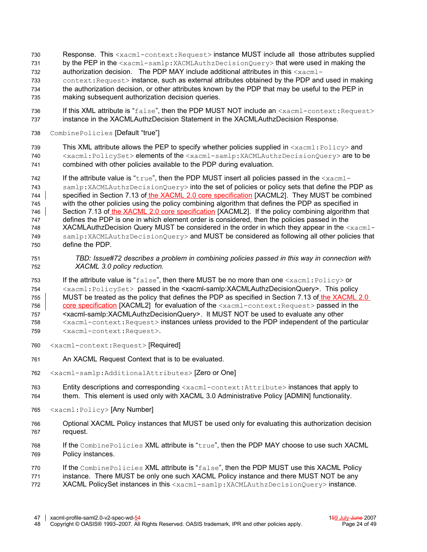- Response. This <xacml-context:Request> instance MUST include all those attributes supplied 730
- by the PEP in the <xacml-samlp:XACMLAuthzDecisionQuery> that were used in making the 731
- authorization decision. The PDP MAY include additional attributes in this  $\langle x_{\text{acm}}$  = 732
- context:Request> instance, such as external attributes obtained by the PDP and used in making the authorization decision, or other attributes known by the PDP that may be useful to the PEP in making subsequent authorization decision queries. 733 734 735
- If this XML attribute is "false", then the PDP MUST NOT include an <xacml-context:Request> instance in the XACMLAuthzDecision Statement in the XACMLAuthzDecision Response. 736 737
- CombinePolicies [Default "true"] 738
- This XML attribute allows the PEP to specify whether policies supplied in  $\langle x \text{acm} \rangle$ : Policy> and <xacml:PolicySet> elements of the <xacml-samlp:XACMLAuthzDecisionQuery> are to be combined with other policies available to the PDP during evaluation. 739 740 741
- If the attribute value is " $true$ ", then the PDP MUST insert all policies passed in the  $\langle x_{\text{acm}} \rangle$ samlp:XACMLAuthzDecisionQuery> into the set of policies or policy sets that define the PDP as specified in Section 7.13 of the XACML 2.0 core specification [\[XACML2\].](#page-11-4) They MUST be combined with the other policies using the policy combining algorithm that defines the PDP as specified in Section 7.13 of the XACML 2.0 core specification [\[XACML2\].](#page-11-4) If the policy combining algorithm that defines the PDP is one in which element order is considered, then the policies passed in the XACMLAuthzDecision Query MUST be considered in the order in which they appear in the  $\leq x \land x \land x$ samlp:XACMLAuthzDecisionQuery> and MUST be considered as following all other policies that define the PDP. 742 743 744 745 746 747 748 749 750
- *TBD: Issue#72 describes a problem in combining policies passed in this way in connection with XACML 3.0 policy reduction.* 751 752
- If the attribute value is " $false$ ", then there MUST be no more than one  $\langle xacm1;Policy\rangle$  or <xacml:PolicySet> passed in the <xacml-samlp:XACMLAuthzDecisionQuery>. This policy MUST be treated as the policy that defines the PDP as specified in Section 7.13 of the XACML 2.0 core specification [\[XACML2\]](#page-11-4) for evaluation of the <xacml-context: Request> passed in the <xacml-samlp:XACMLAuthzDecisionQuery>. It MUST NOT be used to evaluate any other <xacml-context:Request> instances unless provided to the PDP independent of the particular <xacml-context:Request>. 753 754 755 756 757 758 759
- <xacml-context:Request> [Required] 760
- An XACML Request Context that is to be evaluated. 761
- <xacml-samlp:AdditionalAttributes> [Zero or One] 762
- Entity descriptions and corresponding <xacml-context:Attribute> instances that apply to them. This element is used only with XACML 3.0 Administrative Policy [\[ADMIN\]](#page-11-10) functionality. 763 764
- <xacml:Policy> [Any Number] 765
- Optional XACML Policy instances that MUST be used only for evaluating this authorization decision request. 766 767
- If the CombinePolicies XML attribute is "true", then the PDP MAY choose to use such XACML Policy instances. 768 769
- If the CombinePolicies XML attribute is "false", then the PDP MUST use this XACML Policy 770
- instance. There MUST be only one such XACML Policy instance and there MUST NOT be any 771
- XACML PolicySet instances in this <xacml-samlp:XACMLAuthzDecisionQuery> instance. 772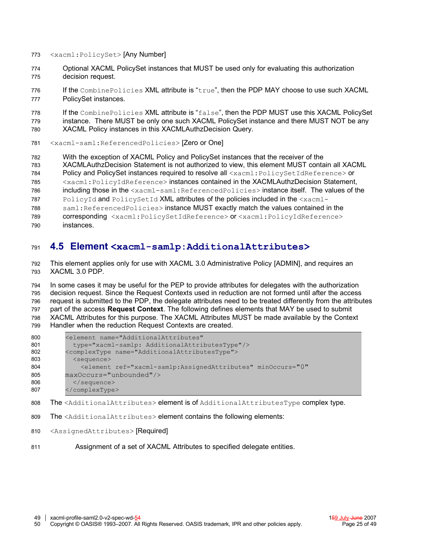- <xacml:PolicySet> [Any Number] 773
- Optional XACML PolicySet instances that MUST be used only for evaluating this authorization decision request. 774 775
- If the CombinePolicies XML attribute is "true", then the PDP MAY choose to use such XACML PolicySet instances. 776 777

If the CombinePolicies XML attribute is "false", then the PDP MUST use this XACML PolicySet instance. There MUST be only one such XACML PolicySet instance and there MUST NOT be any XACML Policy instances in this XACMLAuthzDecision Query. 778 779 780

<xacml-saml:ReferencedPolicies> [Zero or One] 781

With the exception of XACML Policy and PolicySet instances that the receiver of the 782

XACMLAuthzDecision Statement is not authorized to view, this element MUST contain all XACML 783

Policy and PolicySet instances required to resolve all <xacml: PolicySetIdReference> or 784

<xacml:PolicyIdReference> instances contained in the XACMLAuthzDecision Statement, 785

including those in the <xacml-saml:ReferencedPolicies> instance itself. The values of the 786

PolicyId and PolicySetId XML attributes of the policies included in the <xacml-787

saml:ReferencedPolicies> instance MUST exactly match the values contained in the 788

- corresponding <xacml:PolicySetIdReference> or <xacml:PolicyIdReference> 789
- instances. 790

#### **4.5 Element <xacml-samlp:AdditionalAttributes>** 791

This element applies only for use with XACML 3.0 Administrative Policy [\[ADMIN\],](#page-11-10) and requires an XACML 3.0 PDP. 792 793

In some cases it may be useful for the PEP to provide attributes for delegates with the authorization decision request. Since the Request Contexts used in reduction are not formed until after the access request is submitted to the PDP, the delegate attributes need to be treated differently from the attributes part of the access **Request Context**. The following defines elements that MAY be used to submit XACML Attributes for this purpose. The XACML Attributes MUST be made available by the Context Handler when the reduction Request Contexts are created. 794 795 796 797 798 799

| 801<br>type="xacml-samlp: AdditionalAttributesType"/>                                             |  |  |  |  |  |
|---------------------------------------------------------------------------------------------------|--|--|--|--|--|
| <complextype name="AdditionalAttributesType"><br/>802</complextype>                               |  |  |  |  |  |
| 803<br><sequence></sequence>                                                                      |  |  |  |  |  |
| 804<br><element <="" minoccurs="0" ref="xacml-samlp:AssignedAttributes" th=""><th></th></element> |  |  |  |  |  |
| maxOccurs="unbounded"/><br>805                                                                    |  |  |  |  |  |
| 806<br>$\langle$ /sequence>                                                                       |  |  |  |  |  |
| <br>807                                                                                           |  |  |  |  |  |

The <AdditionalAttributes> element is of AdditionalAttributesType complex type. 808

- The <AdditionalAttributes> element contains the following elements: 809
- <AssignedAttributes> [Required] 810
- Assignment of a set of XACML Attributes to specified delegate entities. 811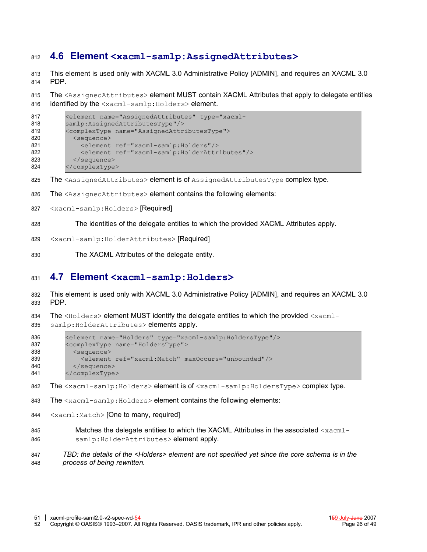#### **4.6 Element <xacml-samlp:AssignedAttributes>** 812

This element is used only with XACML 3.0 Administrative Policy [\[ADMIN\],](#page-11-10) and requires an XACML 3.0 PDP. 813 814

The <AssignedAttributes> element MUST contain XACML Attributes that apply to delegate entities identified by the <xacml-samlp:Holders> element. 815 816

```
<element name="AssignedAttributes" type="xacml-
         samlp:AssignedAttributesType"/>
         <complexType name="AssignedAttributesType">
           <sequence>
             <element ref="xacml-samlp:Holders"/>
             <element ref="xacml-samlp:HolderAttributes"/>
           </sequence>
         </complexType>
817
818
819
820
821
822
823
824
```
- The <AssignedAttributes> element is of AssignedAttributesType complex type. 825
- The <AssignedAttributes> element contains the following elements: 826
- <xacml-samlp:Holders> [Required] 827
- The identities of the delegate entities to which the provided XACML Attributes apply. 828
- <xacml-samlp:HolderAttributes> [Required] 829
- The XACML Attributes of the delegate entity. 830

#### **4.7 Element <xacml-samlp:Holders>** 831

This element is used only with XACML 3.0 Administrative Policy [\[ADMIN\],](#page-11-10) and requires an XACML 3.0 PDP. 832 833

The  $\leq H \circ \text{Iders}$  element MUST identify the delegate entities to which the provided  $\leq x \cdot \text{Id}$ samlp: HolderAttributes> elements apply. 834 835

```
<element name="Holders" type="xacml-samlp:HoldersType"/>
         <complexType name="HoldersType">
           <sequence>
             <element ref="xacml:Match" maxOccurs="unbounded"/>
           </sequence>
         </complexType>
836
837
838
839
840
841
```
The <xacml-samlp:Holders> element is of <xacml-samlp:HoldersType> complex type. 842

- The <xacml-samlp:Holders> element contains the following elements: 843
- <xacml:Match> [One to many, required] 844
- Matches the delegate entities to which the XACML Attributes in the associated  $\langle x_{\text{acm}} \rangle$ samlp: HolderAttributes> element apply. 845 846

*TBD: the details of the <Holders> element are not specified yet since the core schema is in the process of being rewritten.* 847 848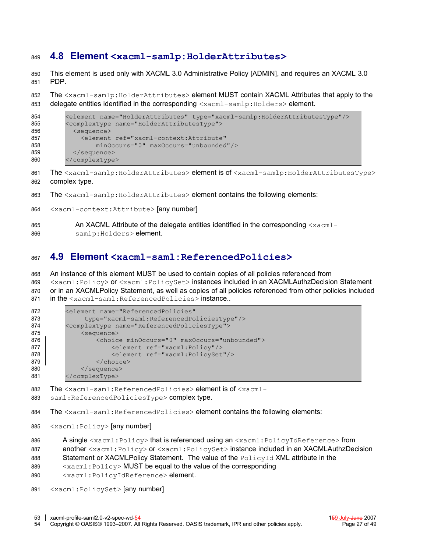#### **4.8 Element <xacml-samlp:HolderAttributes>** 849

This element is used only with XACML 3.0 Administrative Policy [\[ADMIN\],](#page-11-10) and requires an XACML 3.0 PDP. 850 851

The <xacml-samlp:HolderAttributes> element MUST contain XACML Attributes that apply to the delegate entities identified in the corresponding <xacml-samlp:Holders> element. 852 853

```
<element name="HolderAttributes" type="xacml-samlp:HolderAttributesType"/>
         <complexType name="HolderAttributesType">
           <sequence>
             <element ref="xacml-context:Attribute"
                 minOccurs="0" maxOccurs="unbounded"/>
           </sequence>
         </complexType>
854
855
856
857
858
859
860
```
The <xacml-samlp:HolderAttributes> element is of <xacml-samlp:HolderAttributesType> complex type. 861 862

- The <xacml-samlp:HolderAttributes> element contains the following elements: 863
- <xacml-context:Attribute> [any number] 864
- An XACML Attribute of the delegate entities identified in the corresponding  $\langle x \text{acm} \rangle$ samlp: Holders> element. 865 866

#### <span id="page-26-0"></span>**4.9 Element <xacml-saml:ReferencedPolicies>** 867

An instance of this element MUST be used to contain copies of all policies referenced from 868

<xacml:Policy> or <xacml:PolicySet> instances included in an XACMLAuthzDecision Statement or in an XACMLPolicy Statement, as well as copies of all policies referenced from other policies included in the <xacml-saml:ReferencedPolicies> instance.. 869 870 871

```
<element name="ReferencedPolicies"
              type="xacml-saml:ReferencedPoliciesType"/>
         <complexType name="ReferencedPoliciesType">
             <sequence>
                 <choice minOccurs="0" maxOccurs="unbounded">
                     <element ref="xacml:Policy"/>
                     <element ref="xacml:PolicySet"/>
                 </choice>
             </sequence>
         </complexType>
872
873
874
875
876
877
878
879
880
881
```
The <xacml-saml:ReferencedPolicies> element is of <xacml-882

saml:ReferencedPoliciesType> complex type. 883

The <xacml-saml:ReferencedPolicies> element contains the following elements: 884

- <xacml:Policy> [any number] 885
- A single <xacml:Policy> that is referenced using an <xacml:PolicyIdReference> from 886

another <xacml:Policy> or <xacml:PolicySet> instance included in an XACMLAuthzDecision 887

- Statement or XACMLPolicy Statement. The value of the PolicyId XML attribute in the 888
- <xacml:Policy> MUST be equal to the value of the corresponding 889

<xacml:PolicyIdReference> element. 890

<xacml:PolicySet> [any number] 891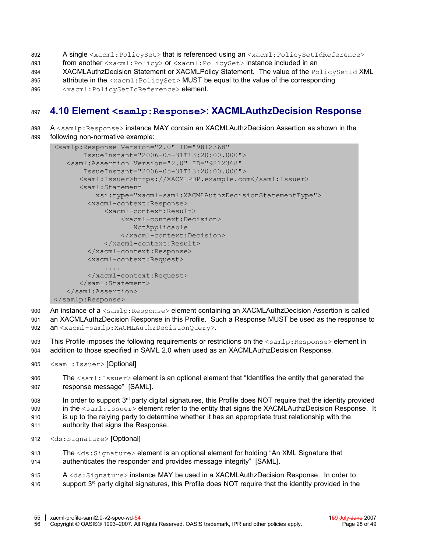- A single <xacml:PolicySet> that is referenced using an <xacml:PolicySetIdReference> 892
- from another <xacml:Policy> or <xacml:PolicySet> instance included in an 893
- XACMLAuthzDecision Statement or XACMLPolicy Statement. The value of the PolicySetId XML 894
- attribute in the <xacml: PolicySet> MUST be equal to the value of the corresponding 895
- <xacml:PolicySetIdReference> element. 896

#### **4.10 Element <samlp:Response>: XACMLAuthzDecision Response** 897

#### A <samlp:Response> instance MAY contain an XACMLAuthzDecision Assertion as shown in the following non-normative example: 898 899

```
<samlp:Response Version="2.0" ID="9812368"
        IssueInstant="2006-05-31T13:20:00.000">
    <saml:Assertion Version="2.0" ID="9812368"
        IssueInstant="2006-05-31T13:20:00.000">
      <saml:Issuer>https://XACMLPDP.example.com</saml:Issuer>
       <saml:Statement
           xsi:type="xacml-saml:XACMLAuthzDecisionStatementType">
         <xacml-context:Response>
             <xacml-context:Result>
                  <xacml-context:Decision>
                    NotApplicable
                 </xacml-context:Decision>
             </xacml-context:Result>
         </xacml-context:Response>
         <xacml-context:Request>
              ....
         </xacml-context:Request>
       </saml:Statement>
    </saml:Assertion>
</samlp:Response>
```
- An instance of a <samlp:Response> element containing an XACMLAuthzDecision Assertion is called an XACMLAuthzDecision Response in this Profile. Such a Response MUST be used as the response to 900 901
- an <xacml-samlp:XACMLAuthzDecisionQuery>. 902
- This Profile imposes the following requirements or restrictions on the  $\langle \text{sample:Response} \rangle$  element in addition to those specified in SAML 2.0 when used as an XACMLAuthzDecision Response. 903 904
- <saml:Issuer> [Optional] 905
- The  $\leq$ saml: Issuer> element is an optional element that "Identifies the entity that generated the response message" [\[SAML\].](#page-11-0) 906 907
- In order to support  $3<sup>rd</sup>$  party digital signatures, this Profile does NOT require that the identity provided 908
- in the <saml:Issuer> element refer to the entity that signs the XACMLAuthzDecision Response. It is up to the relying party to determine whether it has an appropriate trust relationship with the 909 910
- authority that signs the Response. 911
	- <ds:Signature> [Optional] 912
	- The <ds:Signature> element is an optional element for holding "An XML Signature that authenticates the responder and provides message integrity" [\[SAML\].](#page-11-0) 913 914
	- A <ds:Signature> instance MAY be used in a XACMLAuthzDecision Response. In order to support 3<sup>rd</sup> party digital signatures, this Profile does NOT require that the identity provided in the 915 916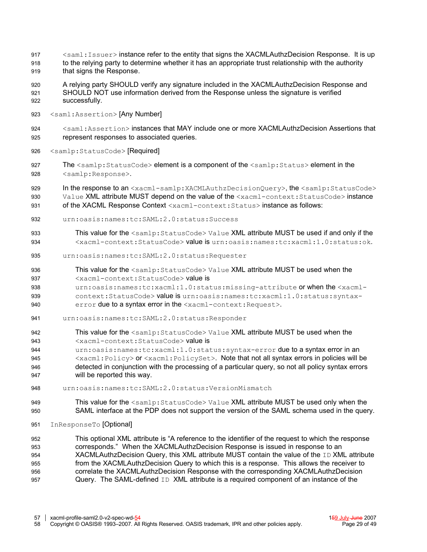- $\leq$ saml: Issuer> instance refer to the entity that signs the XACMLAuthzDecision Response. It is up to the relying party to determine whether it has an appropriate trust relationship with the authority 917 918
- that signs the Response. 919
- A relying party SHOULD verify any signature included in the XACMLAuthzDecision Response and SHOULD NOT use information derived from the Response unless the signature is verified successfully. 920 921 922
- <saml:Assertion> [Any Number] 923
- <saml:Assertion> instances that MAY include one or more XACMLAuthzDecision Assertions that represent responses to associated queries. 924 925
- <samlp:StatusCode> [Required] 926
- The <samlp:StatusCode> element is a component of the <samlp:Status> element in the <samlp:Response>. 927 928
- In the response to an <xacml-samlp:XACMLAuthzDecisionQuery>, the <samlp:StatusCode> Value XML attribute MUST depend on the value of the <xacml-context: StatusCode> instance of the XACML Response Context <xacml-context:Status> instance as follows: **929** 930 931
- urn:oasis:names:tc:SAML:2.0:status:Success 932
- This value for the <samlp:StatusCode> Value XML attribute MUST be used if and only if the <xacml-context:StatusCode> value is urn:oasis:names:tc:xacml:1.0:status:ok. 933 934
- urn:oasis:names:tc:SAML:2.0:status:Requester 935
- This value for the <samlp: StatusCode> Value XML attribute MUST be used when the 936
- <xacml-context:StatusCode> value is 937
- urn:oasis:names:tc:xacml:1.0:status:missing-attribute or when the <xacmlcontext:StatusCode> value is urn:oasis:names:tc:xacml:1.0:status:syntax-938 939
- error due to a syntax error in the <xacml-context: Request>. 940
- urn:oasis:names:tc:SAML:2.0:status:Responder 941
- This value for the <samlp:StatusCode> Value XML attribute MUST be used when the 942
- <xacml-context:StatusCode> value is 943
- urn: oasis: names: tc:xacml: 1.0: status: syntax-error due to a syntax error in an 944
- <xacml:Policy> or <xacml:PolicySet>. Note that not all syntax errors in policies will be detected in conjunction with the processing of a particular query, so not all policy syntax errors will be reported this way. 945 946 947
- urn:oasis:names:tc:SAML:2.0:status:VersionMismatch 948
- This value for the <samlp:StatusCode> Value XML attribute MUST be used only when the SAML interface at the PDP does not support the version of the SAML schema used in the query. 949 950
- InResponseTo [Optional] 951

This optional XML attribute is "A reference to the identifier of the request to which the response corresponds." When the XACMLAuthzDecision Response is issued in response to an XACMLAuthzDecision Query, this XML attribute MUST contain the value of the  $ID$  XML attribute from the XACMLAuthzDecision Query to which this is a response. This allows the receiver to correlate the XACMLAuthzDecision Response with the corresponding XACMLAuthzDecision Query. The SAML-defined ID XML attribute is a required component of an instance of the 952 953 **954** 955 956 957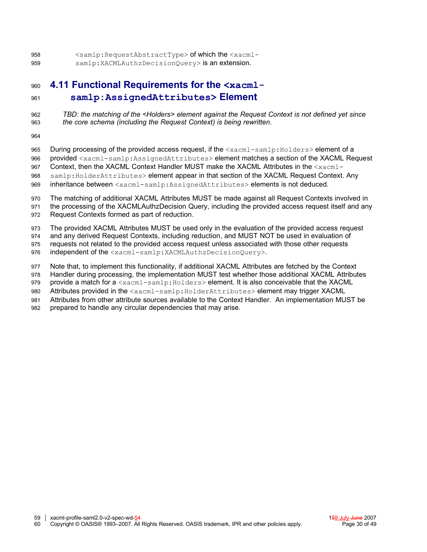<samlp:RequestAbstractType> of which the <xacmlsamlp:XACMLAuthzDecisionOuery> is an extension. 958 959

#### **4.11 Functional Requirements for the <xacmlsamlp:AssignedAttributes> Element** 960 961

*TBD: the matching of the <Holders> element against the Request Context is not defined yet since the core schema (including the Request Context) is being rewritten.* 962 963

964

During processing of the provided access request, if the <xacml-samlp:Holders> element of a provided <xacml-samlp:AssignedAttributes> element matches a section of the XACML Request Context, then the XACML Context Handler MUST make the XACML Attributes in the <xacmlsamlp: HolderAttributes> element appear in that section of the XACML Request Context. Any inheritance between <xacml-samlp:AssignedAttributes> elements is not deduced. 965 966 967 968 969

The matching of additional XACML Attributes MUST be made against all Request Contexts involved in the processing of the XACMLAuthzDecision Query, including the provided access request itself and any Request Contexts formed as part of reduction. 970 **071** 972

The provided XACML Attributes MUST be used only in the evaluation of the provided access request 973

and any derived Request Contexts, including reduction, and MUST NOT be used in evaluation of 974

requests not related to the provided access request unless associated with those other requests **975** 

independent of the <xacml-samlp:XACMLAuthzDecisionQuery>. 976

Note that, to implement this functionality, if additional XACML Attributes are fetched by the Context 977

Handler during processing, the implementation MUST test whether those additional XACML Attributes 978

provide a match for a <xacml-samlp:Holders> element. It is also conceivable that the XACML 979

Attributes provided in the <xacml-samlp:HolderAttributes> element may trigger XACML 980

Attributes from other attribute sources available to the Context Handler. An implementation MUST be 981

prepared to handle any circular dependencies that may arise. 982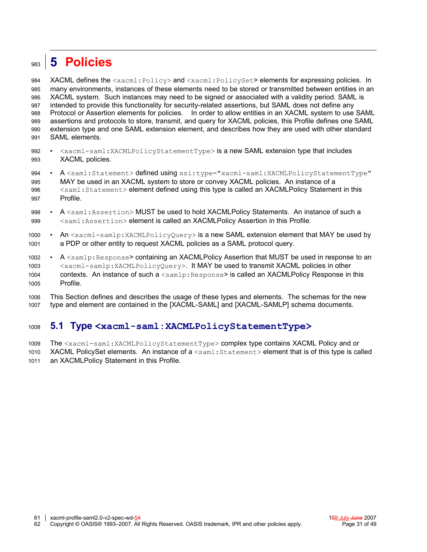#### <span id="page-30-0"></span>**5 Policies** 983

XACML defines the <xacml:Policy> and <xacml:PolicySet> elements for expressing policies. In many environments, instances of these elements need to be stored or transmitted between entities in an XACML system. Such instances may need to be signed or associated with a validity period. SAML is intended to provide this functionality for security-related assertions, but SAML does not define any Protocol or Assertion elements for policies. In order to allow entities in an XACML system to use SAML assertions and protocols to store, transmit, and query for XACML policies, this Profile defines one SAML extension type and one SAML extension element, and describes how they are used with other standard SAML elements. 984 985 986 987 988 989 990 **991** 

- <xacml-saml:XACMLPolicyStatementType> is a new SAML extension type that includes XACML policies. 992 993
- A <saml:Statement> defined using xsi:type="xacml-saml:XACMLPolicyStatementType" MAY be used in an XACML system to store or convey XACML policies. An instance of a <saml:Statement> element defined using this type is called an XACMLPolicy Statement in this Profile. 994 995 996 997
- A <saml:Assertion> MUST be used to hold XACMLPolicy Statements. An instance of such a <saml:Assertion> element is called an XACMLPolicy Assertion in this Profile. 998 999
- An <xacml-samlp:XACMLPolicyQuery> is a new SAML extension element that MAY be used by a PDP or other entity to request XACML policies as a SAML protocol query. 1000 1001
- A <samlp:Response> containing an XACMLPolicy Assertion that MUST be used in response to an <xacml-samlp:XACMLPolicyQuery>. It MAY be used to transmit XACML policies in other contexts. An instance of such a <samlp: Response> is called an XACMLPolicy Response in this Profile. 1002 1003 1004 1005
- This Section defines and describes the usage of these types and elements. The schemas for the new type and element are contained in the [\[XACML-SAML\]](#page-11-9) and [\[XACML-SAMLP\]](#page-11-8) schema documents. 1006 1007

#### **5.1 Type <xacml-saml:XACMLPolicyStatementType>** 1008

- The <xacml-saml:XACMLPolicyStatementType> complex type contains XACML Policy and or 1009
- XACML PolicySet elements. An instance of a <saml: Statement> element that is of this type is called an XACMLPolicy Statement in this Profile. 1010 1011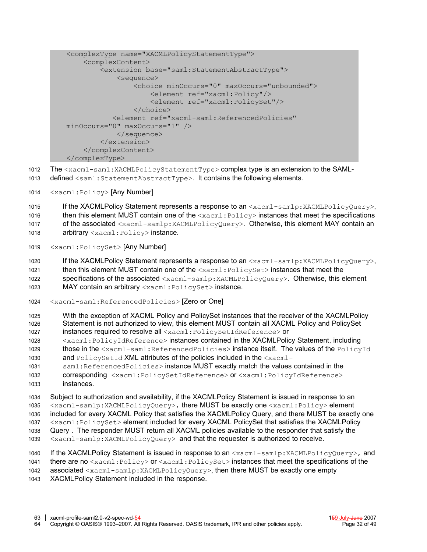```
<complexType name="XACMLPolicyStatementType">
     <complexContent>
         <extension base="saml:StatementAbstractType">
             <sequence>
                  <choice minOccurs="0" maxOccurs="unbounded">
                      <element ref="xacml:Policy"/>
                      <element ref="xacml:PolicySet"/>
                  </choice>
            <element ref="xacml-saml:ReferencedPolicies"
minOccurs="0" maxOccurs="1" />
             </sequence>
         </extension>
     </complexContent>
</complexType>
```
- The <xacml-saml:XACMLPolicyStatementType> complex type is an extension to the SAML-1012
- defined <saml:StatementAbstractType>. It contains the following elements. 1013
- <xacml:Policy> [Any Number] 1014

If the XACMLPolicy Statement represents a response to an <xacml-samlp:XACMLPolicyQuery>, then this element MUST contain one of the  $\langle x_{\text{acm}} \rangle$ :  $\text{Policy}$  instances that meet the specifications of the associated <xacml-samlp:XACMLPolicyQuery>. Otherwise, this element MAY contain an arbitrary <xacml:Policy> instance. 1015 1016 1017 1018

<xacml:PolicySet> [Any Number] 1019

If the XACMLPolicy Statement represents a response to an  $\langle x_{\text{acm}}-s_{\text{am}}\rangle$ : XACMLPolicyQuery>, then this element MUST contain one of the  $\langle x_{\text{acm}} \rangle$ : PolicySet> instances that meet the specifications of the associated  $\langle x_{\text{a}} \rangle$  =  $\langle x_{\text{a}} \rangle$  =  $\langle x_{\text{a}} \rangle$  =  $\langle x_{\text{a}} \rangle$  =  $\langle x_{\text{a}} \rangle$  =  $\langle x_{\text{a}} \rangle$  =  $\langle y_{\text{a}} \rangle$  =  $\langle y_{\text{a}} \rangle$  =  $\langle y_{\text{a}} \rangle$  =  $\langle y_{\text{a}} \rangle$  =  $\langle y_{\text{a}} \rangle$  =  $\langle y_{\text{a}} \rangle$ MAY contain an arbitrary <xacml: PolicySet> instance. 1020 1021 1022 1023

- <xacml-saml:ReferencedPolicies> [Zero or One] 1024
- With the exception of XACML Policy and PolicySet instances that the receiver of the XACMLPolicy Statement is not authorized to view, this element MUST contain all XACML Policy and PolicySet instances required to resolve all <xacml:PolicySetIdReference> or 1025 1026 1027
- <xacml:PolicyIdReference> instances contained in the XACMLPolicy Statement, including those in the <xacml-saml:ReferencedPolicies> instance itself. The values of the PolicyId 1028 1029
- and PolicySetId XML attributes of the policies included in the <xacml-1030
- saml:ReferencedPolicies> instance MUST exactly match the values contained in the 1031
- corresponding <xacml:PolicySetIdReference> or <xacml:PolicyIdReference> instances. 1032 1033

Subject to authorization and availability, if the XACMLPolicy Statement is issued in response to an <xacml-samlp:XACMLPolicyQuery>, there MUST be exactly one <xacml:Policy> element included for every XACML Policy that satisfies the XACMLPolicy Query, and there MUST be exactly one <xacml:PolicySet> element included for every XACML PolicySet that satisfies the XACMLPolicy Query . The responder MUST return all XACML policies available to the responder that satisfy the <xacml-samlp:XACMLPolicyQuery> and that the requester is authorized to receive. 1034 1035 1036 1037 1038 1039

- If the XACMLPolicy Statement is issued in response to an <xacml-samlp:XACMLPolicyQuery>, and there are no <xacml:Policy> or <xacml:PolicySet> instances that meet the specifications of the associated <xacml-samlp:XACMLPolicyQuery>, then there MUST be exactly one empty 1040 1041 1042
- XACMLPolicy Statement included in the response. 1043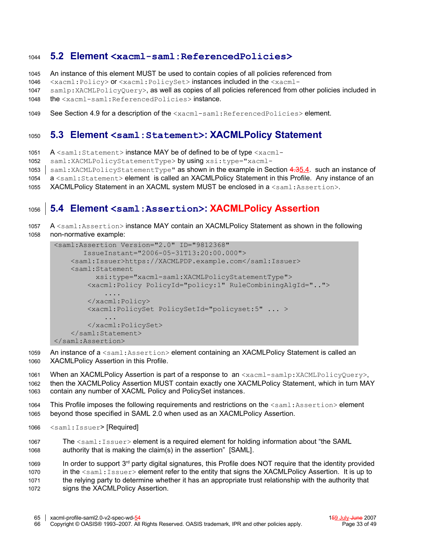#### **5.2 Element <xacml-saml:ReferencedPolicies>** 1044

- An instance of this element MUST be used to contain copies of all policies referenced from 1045
- <xacml:Policy> or <xacml:PolicySet> instances included in the <xacml-1046
- samlp:XACMLPolicyQuery>, as well as copies of all policies referenced from other policies included in 1047
- the <xacml-saml:ReferencedPolicies> instance. 1048
- See Section [4.9](#page-26-0) for a description of the <xacml-saml:ReferencedPolicies> element. 1049

#### **5.3 Element <saml:Statement>: XACMLPolicy Statement** 1050

A  $\leq$ saml:Statement> instance MAY be of defined to be of type  $\leq$ xacml-1051

- saml:XACMLPolicyStatementType> by using xsi:type="xacml-1052
- saml:XACMLPolicyStatementType" as shown in the example in Section 4.[35.4.](#page-32-0) such an instance of  $1053$
- a <saml: Statement> element is called an XACMLPolicy Statement in this Profile. Any instance of an 1054
- XACMLPolicy Statement in an XACML system MUST be enclosed in a <saml:Assertion>. 1055

#### **5.4 Element <saml:Assertion>: XACMLPolicy Assertion** 1056

A <saml:Assertion> instance MAY contain an XACMLPolicy Statement as shown in the following non-normative example: 1057 1058

```
<saml:Assertion Version="2.0" ID="9812368"
         IssueInstant="2006-05-31T13:20:00.000">
     <saml:Issuer>https://XACMLPDP.example.com</saml:Issuer>
     <saml:Statement
            xsi:type="xacml-saml:XACMLPolicyStatementType">
          <xacml:Policy PolicyId="policy:1" RuleCombiningAlgId="..">
               ....
         \langle x \rangle \times \langle x \rangle <xacml:PolicySet PolicySetId="policyset:5" ... >
              ...
          </xacml:PolicySet>
     </saml:Statement>
</saml:Assertion>
```
- An instance of a <saml:Assertion> element containing an XACMLPolicy Statement is called an XACMLPolicy Assertion in this Profile. 1059 1060
- When an XACMLPolicy Assertion is part of a response to an <xacml-samlp:XACMLPolicyQuery>, then the XACMLPolicy Assertion MUST contain exactly one XACMLPolicy Statement, which in turn MAY contain any number of XACML Policy and PolicySet instances. 1061 1062 1063
- This Profile imposes the following requirements and restrictions on the  $\leq$ saml:Assertion> element beyond those specified in SAML 2.0 when used as an XACMLPolicy Assertion. 1064 1065
- <saml:Issuer> [Required] 1066
- The <saml:Issuer> element is a required element for holding information about "the SAML authority that is making the claim(s) in the assertion" [\[SAML\].](#page-11-0) 1067 1068
- In order to support  $3<sup>rd</sup>$  party digital signatures, this Profile does NOT require that the identity provided in the <saml: Issuer> element refer to the entity that signs the XACMLPolicy Assertion. It is up to the relying party to determine whether it has an appropriate trust relationship with the authority that 1069 1070 1071
- signs the XACMLPolicy Assertion. 1072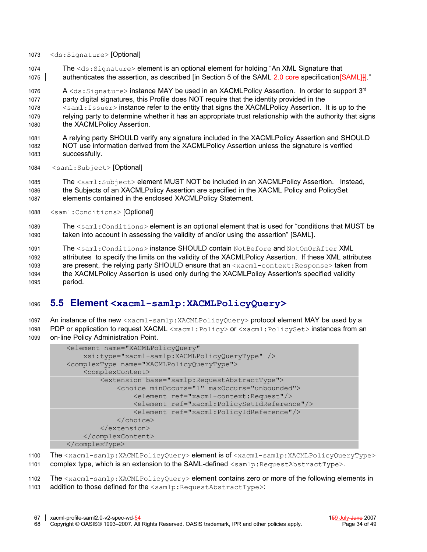- <ds:Signature> [Optional] 1073
- The <ds:Signature> element is an optional element for holding "An XML Signature that authenticates the assertion, as described [in Section 5 of the SAML 2.0 core specificatio[n\[SAML\]\]](#page-11-0)]." 1074 1075

A  $\lessdot$ ds:Signature>instance MAY be used in an XACMLPolicy Assertion. In order to support 3<sup>rd</sup> party digital signatures, this Profile does NOT require that the identity provided in the <saml:Issuer> instance refer to the entity that signs the XACMLPolicy Assertion. It is up to the relying party to determine whether it has an appropriate trust relationship with the authority that signs the XACMLPolicy Assertion. 1076 1077 1078 1079 1080

- A relying party SHOULD verify any signature included in the XACMLPolicy Assertion and SHOULD NOT use information derived from the XACMLPolicy Assertion unless the signature is verified successfully. 1081 1082 1083
- <saml:Subject> [Optional] 1084

The <saml:Subject> element MUST NOT be included in an XACMLPolicy Assertion. Instead, the Subjects of an XACMLPolicy Assertion are specified in the XACML Policy and PolicySet elements contained in the enclosed XACMLPolicy Statement. 1085 1086 1087

- <saml:Conditions> [Optional] 1088
- The <saml: Conditions> element is an optional element that is used for "conditions that MUST be taken into account in assessing the validity of and/or using the assertion" [\[SAML\].](#page-11-0) 1089 1090

The <saml:Conditions> instance SHOULD contain NotBefore and NotOnOrAfter XML attributes to specify the limits on the validity of the XACMLPolicy Assertion. If these XML attributes are present, the relying party SHOULD ensure that an <xacml-context: Response> taken from the XACMLPolicy Assertion is used only during the XACMLPolicy Assertion's specified validity period. 1091 1092 1093 1094 1095

#### **5.5 Element <xacml-samlp:XACMLPolicyQuery>** 1096

An instance of the new <xacml-samlp:XACMLPolicyQuery> protocol element MAY be used by a 1097

PDP or application to request XACML <xacml:Policy> or <xacml:PolicySet> instances from an on-line Policy Administration Point. 1098 1099

```
<element name="XACMLPolicyQuery"
     xsi:type="xacml-samlp:XACMLPolicyQueryType" />
<complexType name="XACMLPolicyQueryType">
     <complexContent>
         <extension base="samlp:RequestAbstractType">
             <choice minOccurs="1" maxOccurs="unbounded">
                 <element ref="xacml-context:Request"/>
                 <element ref="xacml:PolicySetIdReference"/>
                 <element ref="xacml:PolicyIdReference"/>
             </choice>
         </extension>
     </complexContent>
</complexType>
```
The <xacml-samlp:XACMLPolicyQuery> element is of <xacml-samlp:XACMLPolicyQueryType> complex type, which is an extension to the SAML-defined <samlp: RequestAbstractType>. 1100 1101

The <xacml-samlp:XACMLPolicyQuery> element contains zero or more of the following elements in addition to those defined for the <samlp: RequestAbstractType>: 1102 1103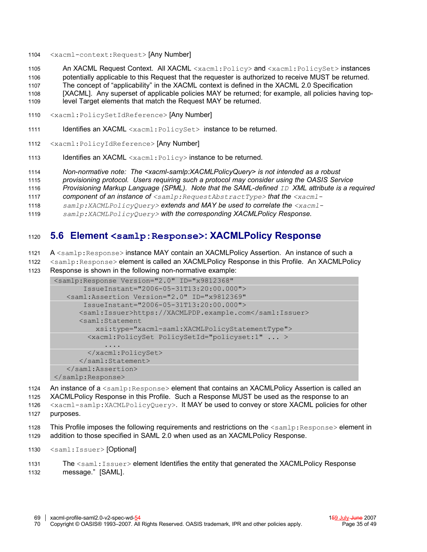<xacml-context:Request> [Any Number] 1104

An XACML Request Context. All XACML <xacml:Policy> and <xacml:PolicySet> instances 1105

potentially applicable to this Request that the requester is authorized to receive MUST be returned. The concept of "applicability" in the XACML context is defined in the XACML 2.0 Specification 1106 1107

[XACML]. Any superset of applicable policies MAY be returned; for example, all policies having top-1108

- level Target elements that match the Request MAY be returned. 1109
- <xacml:PolicySetIdReference> [Any Number] 1110
- Identifies an XACML <xacml: PolicySet> instance to be returned. 1111
- <xacml:PolicyIdReference> [Any Number] 1112
- Identifies an XACML <xacml:Policy> instance to be returned. 1113
- *Non-normative note: The <xacml-samlp:XACMLPolicyQuery> is not intended as a robust* 1114
- *provisioning protocol. Users requiring such a protocol may consider using the OASIS Service* 1115
- *Provisioning Markup Language (SPML). Note that the SAML-defined ID XML attribute is a required* 1116
- *component of an instance of <samlp:RequestAbstractType> that the <xacml-*1117
- *samlp:XACMLPolicyQuery> extends and MAY be used to correlate the <xacml-*1118
- *samlp:XACMLPolicyQuery> with the corresponding XACMLPolicy Response.* 1119

#### **5.6 Element <samlp:Response>: XACMLPolicy Response** 1120

A <samlp:Response> instance MAY contain an XACMLPolicy Assertion. An instance of such a 1121

<samlp:Response> element is called an XACMLPolicy Response in this Profile. An XACMLPolicy Response is shown in the following non-normative example: 1122 1123

```
<samlp:Response Version="2.0" ID="x9812368"
        IssueInstant="2006-05-31T13:20:00.000">
    <saml:Assertion Version="2.0" ID="x9812369"
        IssueInstant="2006-05-31T13:20:00.000">
       <saml:Issuer>https://XACMLPDP.example.com</saml:Issuer>
       <saml:Statement
           xsi:type="xacml-saml:XACMLPolicyStatementType">
         <xacml:PolicySet PolicySetId="policyset:1" ... >
              ....
         </xacml:PolicySet>
       </saml:Statement>
    </saml:Assertion>
</samlp:Response>
```
An instance of a  $\leq$ samlp:Response> element that contains an XACMLPolicy Assertion is called an XACMLPolicy Response in this Profile. Such a Response MUST be used as the response to an 1124 1125

<xacml-samlp:XACMLPolicyQuery>. It MAY be used to convey or store XACML policies for other purposes. 1126 1127

This Profile imposes the following requirements and restrictions on the  $\langle \text{sample:Response} \rangle$  element in addition to those specified in SAML 2.0 when used as an XACMLPolicy Response. 1128 1129

<saml:Issuer> [Optional] 1130

```
The \leqsaml: Issuer> element Identifies the entity that generated the XACMLPolicy Response
          message." [SAML].
1131
1132
```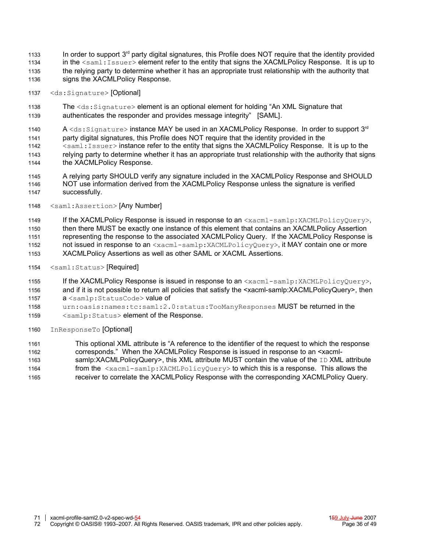- In order to support  $3<sup>rd</sup>$  party digital signatures, this Profile does NOT require that the identity provided in the <saml:Issuer> element refer to the entity that signs the XACMLPolicy Response. It is up to the relying party to determine whether it has an appropriate trust relationship with the authority that signs the XACMLPolicy Response. 1133 1134 1135 1136
- <ds:Signature> [Optional] 1137
- The <ds:Signature> element is an optional element for holding "An XML Signature that authenticates the responder and provides message integrity" [\[SAML\].](#page-11-0) 1138 1139
- A  $<$ ds:Signature> instance MAY be used in an XACMLPolicy Response. In order to support 3<sup>rd</sup> 1140
- party digital signatures, this Profile does NOT require that the identity provided in the 1141
- $\leq$ saml: Issuer> instance refer to the entity that signs the XACMLPolicy Response. It is up to the relying party to determine whether it has an appropriate trust relationship with the authority that signs the XACMLPolicy Response. 1142 1143 1144
- A relying party SHOULD verify any signature included in the XACMLPolicy Response and SHOULD NOT use information derived from the XACMLPolicy Response unless the signature is verified successfully. 1145 1146 1147
- <saml:Assertion> [Any Number] 1148
- If the XACMLPolicy Response is issued in response to an  $\langle x_{\text{acml-samlp}}; x_{\text{ACMLPolicyQuery}} \rangle$ , then there MUST be exactly one instance of this element that contains an XACMLPolicy Assertion representing the response to the associated XACMLPolicy Query. If the XACMLPolicy Response is not issued in response to an <xacml-samlp:XACMLPolicyQuery>, it MAY contain one or more 1149 1150 1151 1152
- XACMLPolicy Assertions as well as other SAML or XACML Assertions. 1153
- <saml:Status> [Required] 1154
- If the XACMLPolicy Response is issued in response to an  $\langle X \rangle$  and  $\langle X \rangle$  and  $\langle X \rangle$  and  $\langle X \rangle$  is  $\langle X \rangle$ and if it is not possible to return all policies that satisfy the <xacml-samlp:XACMLPolicyQuery>, then 1155 1156
- a <samlp: StatusCode> value of 1157
- urn:oasis:names:tc:saml:2.0:status:TooManyResponses MUST be returned in the 1158
- <samlp:Status> element of the Response. 1159
- InResponseTo [Optional] 1160
- This optional XML attribute is "A reference to the identifier of the request to which the response 1161
- corresponds." When the XACMLPolicy Response is issued in response to an <xacml-1162
- samlp:XACMLPolicyQuery>, this XML attribute MUST contain the value of the ID XML attribute from the <xacml-samlp:XACMLPolicyQuery> to which this is a response. This allows the 1163 1164
- receiver to correlate the XACMLPolicy Response with the corresponding XACMLPolicy Query. 1165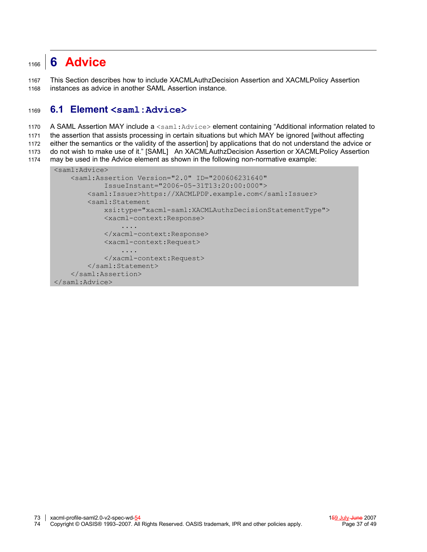#### <span id="page-36-0"></span>**6 Advice** 1166

This Section describes how to include XACMLAuthzDecision Assertion and XACMLPolicy Assertion instances as advice in another SAML Assertion instance. 1167 1168

#### **6.1 Element <saml:Advice>** 1169

A SAML Assertion MAY include a <saml:Advice> element containing "Additional information related to 1170

the assertion that assists processing in certain situations but which MAY be ignored [without affecting 1171

either the semantics or the validity of the assertion] by applications that do not understand the advice or 1172

do not wish to make use of it." [\[SAML\]](#page-11-0) An XACMLAuthzDecision Assertion or XACMLPolicy Assertion 1173

```
may be used in the Advice element as shown in the following non-normative example:
1174
```

```
<saml:Advice>
     <saml:Assertion Version="2.0" ID="200606231640"
             IssueInstant="2006-05-31T13:20:00:000">
         <saml:Issuer>https://XACMLPDP.example.com</saml:Issuer>
         <saml:Statement
             xsi:type="xacml-saml:XACMLAuthzDecisionStatementType">
             <xacml-context:Response>
                  ....
             </xacml-context:Response>
             <xacml-context:Request>
                  ....
             </xacml-context:Request>
         </saml:Statement>
     </saml:Assertion>
</saml:Advice>
```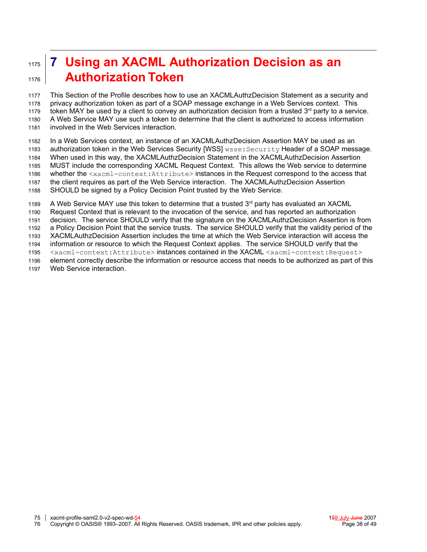### <span id="page-37-0"></span>**7 Using an XACML Authorization Decision as an Authorization Token** 1175 1176

This Section of the Profile describes how to use an XACMLAuthzDecision Statement as a security and privacy authorization token as part of a SOAP message exchange in a Web Services context. This token MAY be used by a client to convey an authorization decision from a trusted 3<sup>rd</sup> party to a service. A Web Service MAY use such a token to determine that the client is authorized to access information involved in the Web Services interaction. 1177 1178 1179 1180 1181

In a Web Services context, an instance of an XACMLAuthzDecision Assertion MAY be used as an authorization token in the Web Services Security [WSS] wsse:Security Header of a SOAP message. When used in this way, the XACMLAuthzDecision Statement in the XACMLAuthzDecision Assertion MUST include the corresponding XACML Request Context. This allows the Web service to determine whether the <xacml-context:Attribute> instances in the Request correspond to the access that the client requires as part of the Web Service interaction. The XACMLAuthzDecision Assertion SHOULD be signed by a Policy Decision Point trusted by the Web Service. 1182 1183 1184 1185 1186 1187 1188

A Web Service MAY use this token to determine that a trusted 3<sup>rd</sup> party has evaluated an XACML Request Context that is relevant to the invocation of the service, and has reported an authorization decision. The service SHOULD verify that the signature on the XACMLAuthzDecision Assertion is from a Policy Decision Point that the service trusts. The service SHOULD verify that the validity period of the XACMLAuthzDecision Assertion includes the time at which the Web Service interaction will access the information or resource to which the Request Context applies. The service SHOULD verify that the <xacml-context:Attribute> instances contained in the XACML <xacml-context:Request> element correctly describe the information or resource access that needs to be authorized as part of this Web Service interaction. 1189 1190 1191 1192 1193 1194 1195 1196 1197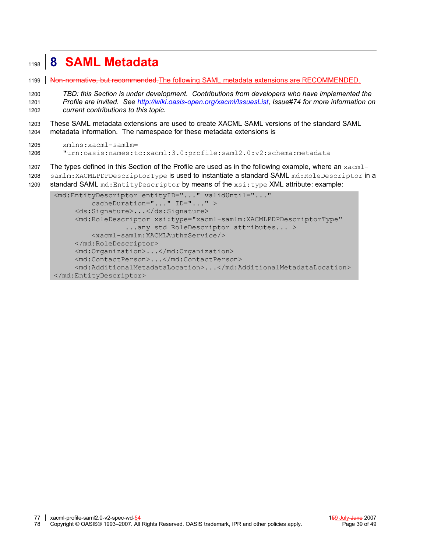#### <span id="page-38-0"></span>**8 SAML Metadata** 1198

Non-normative, but recommended.The following SAML metadata extensions are RECOMMENDED. 1199

*TBD: this Section is under development. Contributions from developers who have implemented the Profile are invited. See [http://wiki.oasis-open.org/xacml/IssuesList,](http://wiki.oasis-open.org/xacml/IssuesList) Issue#74 for more information on current contributions to this topic.* 1200 1201 1202

These SAML metadata extensions are used to create XACML SAML versions of the standard SAML metadata information. The namespace for these metadata extensions is 1203 1204

```
xmlns:xacml-samlm=
        "urn:oasis:names:tc:xacml:3.0:profile:saml2.0:v2:schema:metadata
1205
1206
```
The types defined in this Section of the Profile are used as in the following example, where an  $x_{\text{acm}}$ -1207

samlm:XACMLPDPDescriptorType is used to instantiate a standard SAML md:RoleDescriptor in a 1208

standard SAML md: EntityDescriptor by means of the xsi:type XML attribute: example: 1209

```
<md:EntityDescriptor entityID="..." validUntil="..."
         cacheDuration="..." ID="..." >
      <ds:Signature>...</ds:Signature>
      <md:RoleDescriptor xsi:type="xacml-samlm:XACMLPDPDescriptorType"
                  ...any std RoleDescriptor attributes... >
          <xacml-samlm:XACMLAuthzService/>
      </md:RoleDescriptor>
      <md:Organization>...</md:Organization>
      <md:ContactPerson>...</md:ContactPerson>
      <md:AdditionalMetadataLocation>...</md:AdditionalMetadataLocation>
</md:EntityDescriptor>
```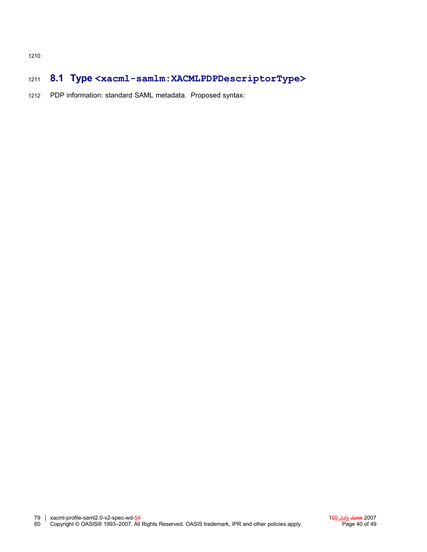#### **8.1 Type <xacml-samlm:XACMLPDPDescriptorType>** 1211

PDP information: standard SAML metadata. Proposed syntax: 1212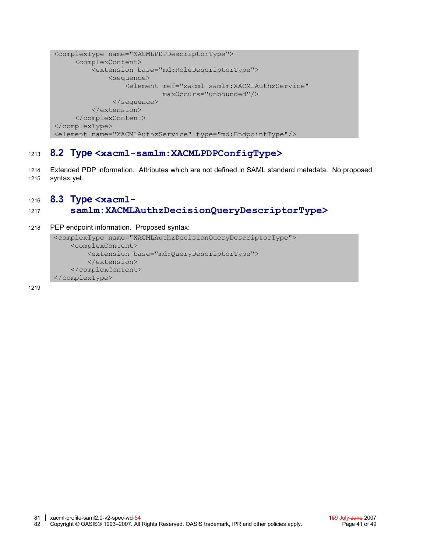```
<complexType name="XACMLPDPDescriptorType">
      <complexContent>
          <extension base="md:RoleDescriptorType">
              <sequence>
                  <element ref="xacml-samlm:XACMLAuthzService"
                          maxOccurs="unbounded"/>
               </sequence>
          </extension>
      </complexContent>
</complexType>
<element name="XACMLAuthzService" type="md:EndpointType"/>
```
#### **8.2 Type <xacml-samlm:XACMLPDPConfigType>** 1213

Extended PDP information. Attributes which are not defined in SAML standard metadata. No proposed syntax yet. 1214 1215

#### **8.3 Type <xacml-**1216

#### **samlm:XACMLAuthzDecisionQueryDescriptorType>** 1217

PEP endpoint information. Proposed syntax: 1218

```
<complexType name="XACMLAuthzDecisionQueryDescriptorType">
     <complexContent>
        <extension base="md:QueryDescriptorType">
         </extension>
     </complexContent>
</complexType>
```
1219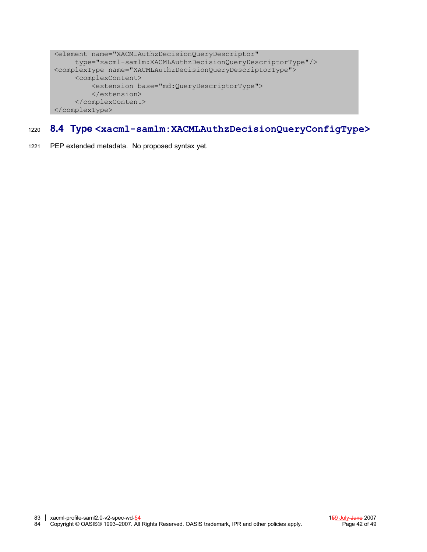```
<element name="XACMLAuthzDecisionQueryDescriptor"
      type="xacml-samlm:XACMLAuthzDecisionQueryDescriptorType"/>
<complexType name="XACMLAuthzDecisionQueryDescriptorType">
      <complexContent>
          <extension base="md:QueryDescriptorType">
          </extension>
      </complexContent>
</complexType>
```
#### **8.4 Type <xacml-samlm:XACMLAuthzDecisionQueryConfigType>** 1220

PEP extended metadata. No proposed syntax yet. 1221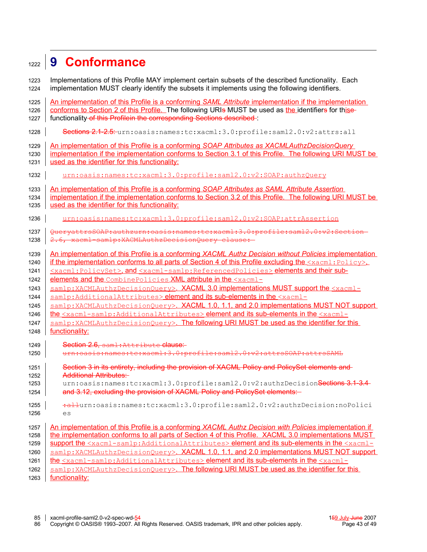#### <span id="page-42-0"></span>**9 Conformance** 1222

Implementations of this Profile MAY implement certain subsets of the described functionality. Each implementation MUST clearly identify the subsets it implements using the following identifiers. An implementation of this Profile is a conforming *SAML Attribute* implementation if the implementation conforms to Section [2](#page-12-0) of this Profile. The following URIs MUST be used as the identifiers for thisefunctionality of this Profilein the corresponding Sections described : Sections 2.1-2.5: urn:oasis:names:tc:xacml:3.0:profile:saml2.0:v2:attrs:all An implementation of this Profile is a conforming *SOAP Attributes as XACMLAuthzDecisionQuery* implementation if the implementation conforms to Section [3.1](#page-17-2) of this Profile. The following URI MUST be used as the identifier for this functionality: urn:oasis:names:tc:xacml:3.0:profile:saml2.0:v2:SOAP:authzQuery An implementation of this Profile is a conforming *SOAP Attributes as SAML Attribute Assertion* implementation if the implementation conforms to Section [3.2](#page-17-1) of this Profile. The following URI MUST be used as the identifier for this functionality: urn:oasis:names:tc:xacml:3.0:profile:saml2.0:v2:SOAP:attrAssertion QueryattrsSOAP:authzurn:oasis:names:tc:xacml:3.0:profile:saml2.0:v2:Section 2.6, xacml-samlp:XACMLAuthzDecisionQuery clause: An implementation of this Profile is a conforming *XACML Authz Decision without Policies* implementation if the implementation conforms to all parts of Section [4](#page-18-0) of this Profile excluding the  $\langle x_{\text{acm}}_1 : \text{Poley}\rangle$ , <xacml:PolicySet>, and <xacml-samlp:ReferencedPolicies> elements and their subelements and the CombinePolicies XML attribute in the <xacmlsamlp:XACMLAuthzDecisionQuery>. XACML 3.0 implementations MUST support the <xacmlsamlp:AdditionalAttributes> element and its sub-elements in the <xacmlsamlp:XACMLAuthzDecisionQuery>. XACML 1.0, 1.1, and 2.0 implementations MUST NOT support the <xacml-samlp:AdditionalAttributes> element and its sub-elements in the <xacmlsamlp:XACMLAuthzDecisionQuery>. The following URI MUST be used as the identifier for this functionality: Section 2.6, saml: Attribute clause: urn:oasis:names:tc:xacml:3.0:profile:saml2.0:v2:attrsSOAP:attrsSAML Section 3 in its entirety, including the provision of XACML Policy and PolicySet elements and Additional Attributes: urn:oasis:names:tc:xacml:3.0:profile:saml2.0:v2:authzDecision<del>Sections 3.1-3.4</del> and 3.12, excluding the provision of XACML Policy and PolicySet elements: :allurn:oasis:names:tc:xacml:3.0:profile:saml2.0:v2:authzDecision:noPolici  $\overline{P}$ An implementation of this Profile is a conforming *XACML Authz Decision with Policies* implementation if the implementation conforms to all parts of Section [4](#page-18-0) of this Profile. XACML 3.0 implementations MUST support the <xacml-samlp:AdditionalAttributes> element and its sub-elements in the <xacmlsamlp:XACMLAuthzDecisionQuery>. XACML 1.0, 1.1, and 2.0 implementations MUST NOT support the <xacml-samlp:AdditionalAttributes> element and its sub-elements in the <xacmlsamlp:XACMLAuthzDecisionQuery>. The following URI MUST be used as the identifier for this 1223 1224 1225 1226 1227 1228 1229 1230 1231 1232 1233 1234 1235 1236 1237 1238 1239 1240 1241 1242 1243 1244 1245 1246 1247 1248 1249 1250 1251 1252 1253 1254 1255 1256 1257 1258 1259 1260 1261 1262

functionality: 1263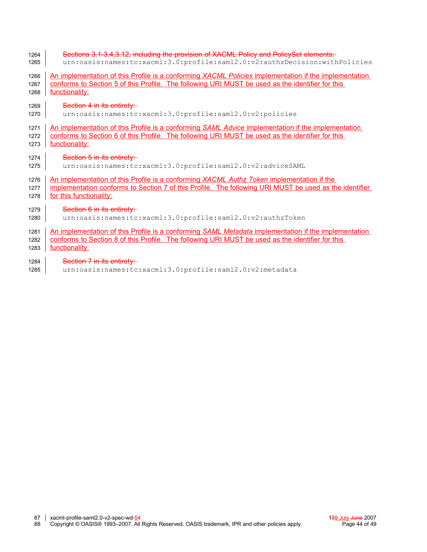| 1264 | Sections 3.1-3.4, 3.12, including the provision of XACML Policy and PolicySet elements:                |  |  |  |  |
|------|--------------------------------------------------------------------------------------------------------|--|--|--|--|
| 1265 | urn:oasis:names:tc:xacml:3.0:profile:saml2.0:v2:authzDecision:withPolicies                             |  |  |  |  |
| 1266 | An implementation of this Profile is a conforming XACML Policies implementation if the implementation  |  |  |  |  |
| 1267 | conforms to Section 5 of this Profile. The following URI MUST be used as the identifier for this       |  |  |  |  |
| 1268 | functionality:                                                                                         |  |  |  |  |
| 1269 | Section 4 in its entirety:                                                                             |  |  |  |  |
| 1270 | urn:oasis:names:tc:xacml:3.0:profile:saml2.0:v2:policies                                               |  |  |  |  |
| 1271 | An implementation of this Profile is a conforming SAML Advice implementation if the implementation     |  |  |  |  |
| 1272 | conforms to Section 6 of this Profile. The following URI MUST be used as the identifier for this       |  |  |  |  |
| 1273 | functionality:                                                                                         |  |  |  |  |
| 1274 | Section 5 in its entirety:                                                                             |  |  |  |  |
| 1275 | urn:oasis:names:tc:xacml:3.0:profile:saml2.0:v2:adviceSAML                                             |  |  |  |  |
| 1276 | An implementation of this Profile is a conforming XACML Authz Token implementation if the              |  |  |  |  |
| 1277 | implementation conforms to Section 7 of this Profile. The following URI MUST be used as the identifier |  |  |  |  |
| 1278 | for this functionality:                                                                                |  |  |  |  |
| 1279 | Section 6 in its entirety:                                                                             |  |  |  |  |
| 1280 | urn:oasis:names:tc:xacml:3.0:profile:saml2.0:v2:authzToken                                             |  |  |  |  |
| 1281 | An implementation of this Profile is a conforming SAML Metadata implementation if the implementation   |  |  |  |  |
| 1282 | conforms to Section 8 of this Profile. The following URI MUST be used as the identifier for this       |  |  |  |  |
| 1283 | functionality:                                                                                         |  |  |  |  |
| 1284 | Section 7 in its entirety:                                                                             |  |  |  |  |

urn:oasis:names:tc:xacml:3.0:profile:saml2.0:v2:metadata  $1285$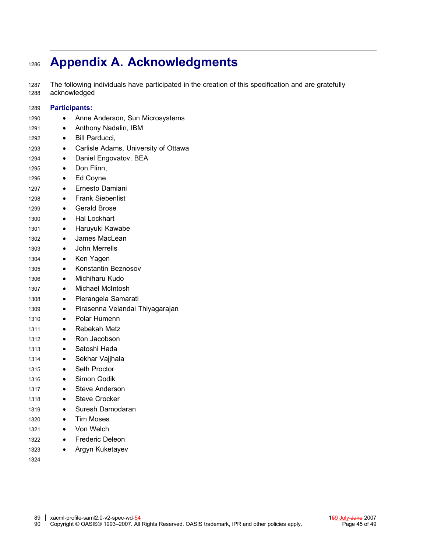#### **Appendix A. Acknowledgments** 1286

The following individuals have participated in the creation of this specification and are gratefully acknowledged 1287 1288

| 1289 | <b>Participants:</b> |                                      |  |  |  |
|------|----------------------|--------------------------------------|--|--|--|
| 1290 |                      | Anne Anderson, Sun Microsystems      |  |  |  |
| 1291 | $\bullet$            | Anthony Nadalin, IBM                 |  |  |  |
| 1292 |                      | Bill Parducci,                       |  |  |  |
| 1293 | $\bullet$            | Carlisle Adams, University of Ottawa |  |  |  |
| 1294 | $\bullet$            | Daniel Engovatov, BEA                |  |  |  |
| 1295 | $\bullet$            | Don Flinn,                           |  |  |  |
| 1296 | $\bullet$            | Ed Coyne                             |  |  |  |
| 1297 |                      | Ernesto Damiani                      |  |  |  |
| 1298 | $\bullet$            | <b>Frank Siebenlist</b>              |  |  |  |
| 1299 | $\bullet$            | <b>Gerald Brose</b>                  |  |  |  |
| 1300 | $\bullet$            | <b>Hal Lockhart</b>                  |  |  |  |
| 1301 | $\bullet$            | Haruyuki Kawabe                      |  |  |  |
| 1302 | $\bullet$            | James MacLean                        |  |  |  |
| 1303 |                      | John Merrells                        |  |  |  |
| 1304 |                      | Ken Yagen                            |  |  |  |
| 1305 | $\bullet$            | Konstantin Beznosov                  |  |  |  |
| 1306 |                      | Michiharu Kudo                       |  |  |  |
| 1307 | $\bullet$            | Michael McIntosh                     |  |  |  |
| 1308 | $\bullet$            | Pierangela Samarati                  |  |  |  |
| 1309 | $\bullet$            | Pirasenna Velandai Thiyagarajan      |  |  |  |
| 1310 | $\bullet$            | Polar Humenn                         |  |  |  |
| 1311 |                      | Rebekah Metz                         |  |  |  |
| 1312 | $\bullet$            | Ron Jacobson                         |  |  |  |
| 1313 | $\bullet$            | Satoshi Hada                         |  |  |  |
| 1314 | $\bullet$            | Sekhar Vajjhala                      |  |  |  |
| 1315 | $\bullet$            | Seth Proctor                         |  |  |  |
| 1316 | $\bullet$            | Simon Godik                          |  |  |  |
| 1317 |                      | <b>Steve Anderson</b>                |  |  |  |
| 1318 |                      | Steve Crocker                        |  |  |  |
| 1319 |                      | Suresh Damodaran                     |  |  |  |
| 1320 |                      | Tim Moses                            |  |  |  |
| 1321 |                      | Von Welch                            |  |  |  |
| 1322 |                      | <b>Frederic Deleon</b>               |  |  |  |
| 1323 | $\bullet$            | Argyn Kuketayev                      |  |  |  |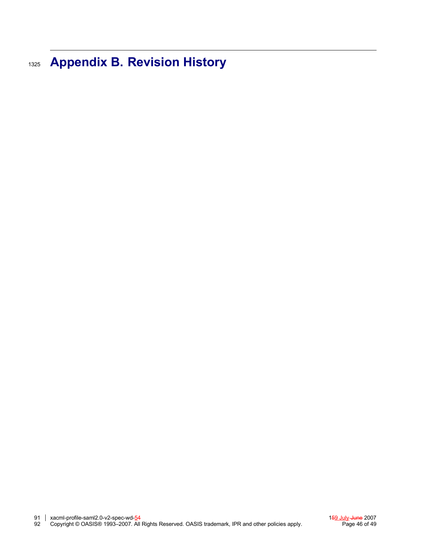**Appendix B. Revision History** 1325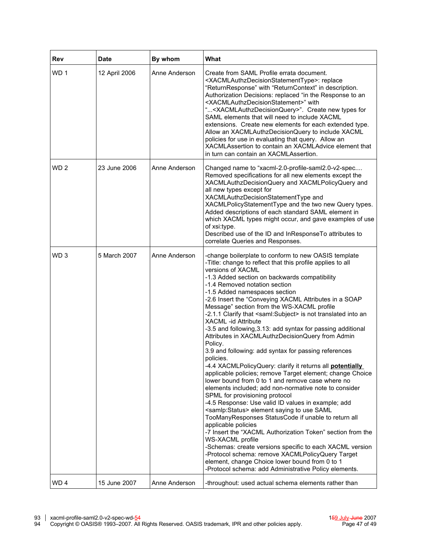| Rev             | <b>Date</b>   | By whom       | What                                                                                                                                                                                                                                                                                                                                                                                                                                                                                                                                                                                                                                                                                                                                                                                                                                                                                                                                                                                                                                                                                                                                                                                                                                                                                                                                                                                                                                                                                  |
|-----------------|---------------|---------------|---------------------------------------------------------------------------------------------------------------------------------------------------------------------------------------------------------------------------------------------------------------------------------------------------------------------------------------------------------------------------------------------------------------------------------------------------------------------------------------------------------------------------------------------------------------------------------------------------------------------------------------------------------------------------------------------------------------------------------------------------------------------------------------------------------------------------------------------------------------------------------------------------------------------------------------------------------------------------------------------------------------------------------------------------------------------------------------------------------------------------------------------------------------------------------------------------------------------------------------------------------------------------------------------------------------------------------------------------------------------------------------------------------------------------------------------------------------------------------------|
| WD <sub>1</sub> | 12 April 2006 | Anne Anderson | Create from SAML Profile errata document.<br><xacmlauthzdecisionstatementtype>: replace<br/>"ReturnResponse" with "ReturnContext" in description.<br/>Authorization Decisions: replaced "in the Response to an<br/><xacmlauthzdecisionstatement>" with<br/>"<xacmlauthzdecisionquery>". Create new types for<br/>SAML elements that will need to include XACML<br/>extensions. Create new elements for each extended type.<br/>Allow an XACMLAuthzDecisionQuery to include XACML<br/>policies for use in evaluating that query. Allow an<br/>XACMLAssertion to contain an XACMLAdvice element that<br/>in turn can contain an XACMLAssertion.</xacmlauthzdecisionquery></xacmlauthzdecisionstatement></xacmlauthzdecisionstatementtype>                                                                                                                                                                                                                                                                                                                                                                                                                                                                                                                                                                                                                                                                                                                                               |
| WD <sub>2</sub> | 23 June 2006  | Anne Anderson | Changed name to "xacml-2.0-profile-saml2.0-v2-spec<br>Removed specifications for all new elements except the<br>XACMLAuthzDecisionQuery and XACMLPolicyQuery and<br>all new types except for<br>XACMLAuthzDecisionStatementType and<br>XACMLPolicyStatementType and the two new Query types.<br>Added descriptions of each standard SAML element in<br>which XACML types might occur, and gave examples of use<br>of xsi:type.<br>Described use of the ID and InResponseTo attributes to<br>correlate Queries and Responses.                                                                                                                                                                                                                                                                                                                                                                                                                                                                                                                                                                                                                                                                                                                                                                                                                                                                                                                                                          |
| WD <sub>3</sub> | 5 March 2007  | Anne Anderson | -change boilerplate to conform to new OASIS template<br>-Title: change to reflect that this profile applies to all<br>versions of XACML<br>-1.3 Added section on backwards compatibility<br>-1.4 Removed notation section<br>-1.5 Added namespaces section<br>-2.6 Insert the "Conveying XACML Attributes in a SOAP<br>Message" section from the WS-XACML profile<br>-2.1.1 Clarify that <saml:subject> is not translated into an<br/>XACML -id Attribute<br/>-3.5 and following, 3.13: add syntax for passing additional<br/>Attributes in XACMLAuthzDecisionQuery from Admin<br/>Policy.<br/>3.9 and following: add syntax for passing references<br/>policies.<br/>-4.4 XACMLPolicyQuery: clarify it returns all potentially<br/>applicable policies; remove Target element; change Choice<br/>lower bound from 0 to 1 and remove case where no<br/>elements included; add non-normative note to consider<br/>SPML for provisioning protocol<br/>-4.5 Response: Use valid ID values in example; add<br/><samlp:status> element saying to use SAML<br/>TooManyResponses StatusCode if unable to return all<br/>applicable policies<br/>-7 Insert the "XACML Authorization Token" section from the<br/>WS-XACML profile<br/>-Schemas: create versions specific to each XACML version<br/>-Protocol schema: remove XACMLPolicyQuery Target<br/>element, change Choice lower bound from 0 to 1<br/>-Protocol schema: add Administrative Policy elements.</samlp:status></saml:subject> |
| WD <sub>4</sub> | 15 June 2007  | Anne Anderson | -throughout: used actual schema elements rather than                                                                                                                                                                                                                                                                                                                                                                                                                                                                                                                                                                                                                                                                                                                                                                                                                                                                                                                                                                                                                                                                                                                                                                                                                                                                                                                                                                                                                                  |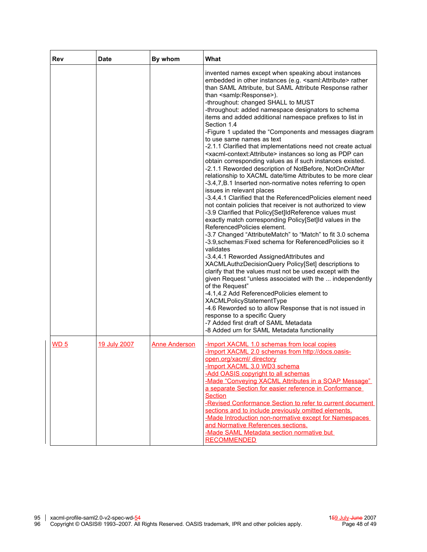| <b>Rev</b>      | <b>Date</b>  | By whom              | What                                                                                                                                                                                                                                                                                                                                                                                                                                                                                                                                                                                                                                                                                                                                                                                                                                                                                                                                                                                                                                                                                                                                                                                                                                                                                                                                                                                                                                                                                                                                                                                                                                                                                                                                                                                                                                                                                                                 |
|-----------------|--------------|----------------------|----------------------------------------------------------------------------------------------------------------------------------------------------------------------------------------------------------------------------------------------------------------------------------------------------------------------------------------------------------------------------------------------------------------------------------------------------------------------------------------------------------------------------------------------------------------------------------------------------------------------------------------------------------------------------------------------------------------------------------------------------------------------------------------------------------------------------------------------------------------------------------------------------------------------------------------------------------------------------------------------------------------------------------------------------------------------------------------------------------------------------------------------------------------------------------------------------------------------------------------------------------------------------------------------------------------------------------------------------------------------------------------------------------------------------------------------------------------------------------------------------------------------------------------------------------------------------------------------------------------------------------------------------------------------------------------------------------------------------------------------------------------------------------------------------------------------------------------------------------------------------------------------------------------------|
|                 |              |                      | invented names except when speaking about instances<br>embedded in other instances (e.g. <saml:attribute> rather<br/>than SAML Attribute, but SAML Attribute Response rather<br/>than <samlp:response>).<br/>-throughout: changed SHALL to MUST<br/>-throughout: added namespace designators to schema<br/>items and added additional namespace prefixes to list in<br/>Section 1.4<br/>-Figure 1 updated the "Components and messages diagram<br/>to use same names as text<br/>-2.1.1 Clarified that implementations need not create actual<br/><xacml-context:attribute> instances so long as PDP can<br/>obtain corresponding values as if such instances existed.<br/>-2.1.1 Reworded description of NotBefore, NotOnOrAfter<br/>relationship to XACML date/time Attributes to be more clear<br/>-3.4,7,B.1 Inserted non-normative notes referring to open<br/>issues in relevant places<br/>-3.4,4.1 Clarified that the ReferencedPolicies element need<br/>not contain policies that receiver is not authorized to view<br/>-3.9 Clarified that Policy[Set]IdReference values must<br/>exactly match corresponding Policy[Set]Id values in the<br/>ReferencedPolicies element.<br/>-3.7 Changed "AttributeMatch" to "Match" to fit 3.0 schema<br/>-3.9, schemas: Fixed schema for Referenced Policies so it<br/>validates<br/>-3.4,4.1 Reworded AssignedAttributes and<br/>XACMLAuthzDecisionQuery Policy[Set] descriptions to<br/>clarify that the values must not be used except with the<br/>given Request "unless associated with the  independently<br/>of the Request"<br/>-4.1,4.2 Add ReferencedPolicies element to<br/>XACMLPolicyStatementType<br/>-4.6 Reworded so to allow Response that is not issued in<br/>response to a specific Query<br/>-7 Added first draft of SAML Metadata<br/>-8 Added urn for SAML Metadata functionality</xacml-context:attribute></samlp:response></saml:attribute> |
| WD <sub>5</sub> | 19 July 2007 | <b>Anne Anderson</b> | -Import XACML 1.0 schemas from local copies<br>-Import XACML 2.0 schemas from http://docs.oasis-<br>open.org/xacml/ directory<br>-Import XACML 3.0 WD3 schema<br>-Add OASIS copyright to all schemas<br>-Made "Conveying XACML Attributes in a SOAP Message"<br>a separate Section for easier reference in Conformance<br><b>Section</b><br>-Revised Conformance Section to refer to current document<br>sections and to include previously omitted elements.<br>-Made Introduction non-normative except for Namespaces<br>and Normative References sections.<br>-Made SAML Metadata section normative but<br><b>RECOMMENDED</b>                                                                                                                                                                                                                                                                                                                                                                                                                                                                                                                                                                                                                                                                                                                                                                                                                                                                                                                                                                                                                                                                                                                                                                                                                                                                                     |